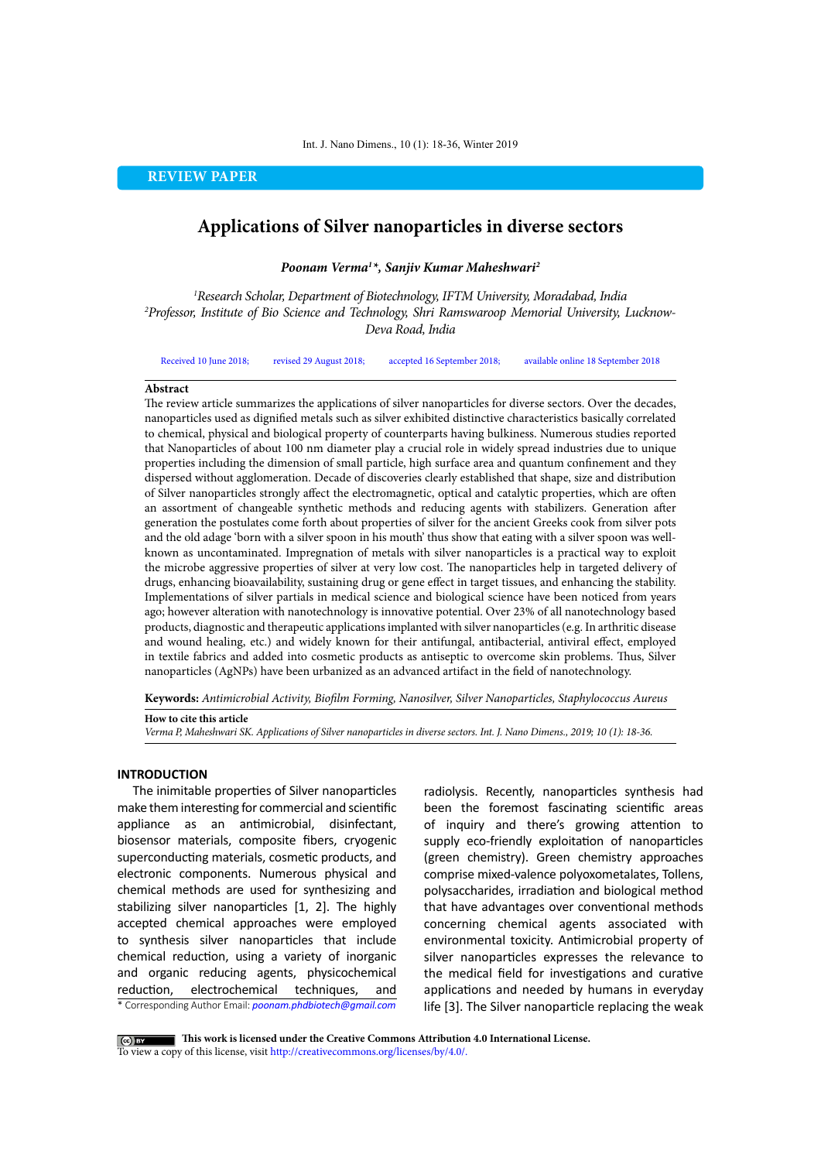**REVIEW PAPER**

# **Applications of Silver nanoparticles in diverse sectors**

*Poonam Verma1 \*, Sanjiv Kumar Maheshwari2*

*1 Research Scholar, Department of Biotechnology, IFTM University, Moradabad, India 2 Professor, Institute of Bio Science and Technology, Shri Ramswaroop Memorial University, Lucknow-Deva Road, India*

Received 10 June 2018; revised 29 August 2018; accepted 16 September 2018; available online 18 September 2018

## **Abstract**

The review article summarizes the applications of silver nanoparticles for diverse sectors. Over the decades, nanoparticles used as dignified metals such as silver exhibited distinctive characteristics basically correlated to chemical, physical and biological property of counterparts having bulkiness. Numerous studies reported that Nanoparticles of about 100 nm diameter play a crucial role in widely spread industries due to unique properties including the dimension of small particle, high surface area and quantum confinement and they dispersed without agglomeration. Decade of discoveries clearly established that shape, size and distribution of Silver nanoparticles strongly affect the electromagnetic, optical and catalytic properties, which are often an assortment of changeable synthetic methods and reducing agents with stabilizers. Generation after generation the postulates come forth about properties of silver for the ancient Greeks cook from silver pots and the old adage 'born with a silver spoon in his mouth' thus show that eating with a silver spoon was wellknown as uncontaminated. Impregnation of metals with silver nanoparticles is a practical way to exploit the microbe aggressive properties of silver at very low cost. The nanoparticles help in targeted delivery of drugs, enhancing bioavailability, sustaining drug or gene effect in target tissues, and enhancing the stability. Implementations of silver partials in medical science and biological science have been noticed from years ago; however alteration with nanotechnology is innovative potential. Over 23% of all nanotechnology based products, diagnostic and therapeutic applications implanted with silver nanoparticles (e.g. In arthritic disease and wound healing, etc.) and widely known for their antifungal, antibacterial, antiviral effect, employed in textile fabrics and added into cosmetic products as antiseptic to overcome skin problems. Thus, Silver nanoparticles (AgNPs) have been urbanized as an advanced artifact in the field of nanotechnology.

**Keywords:** *Antimicrobial Activity, Biofilm Forming, Nanosilver, Silver Nanoparticles, Staphylococcus Aureus*

#### **How to cite this article**

*Verma P, Maheshwari SK. Applications of Silver nanoparticles in diverse sectors. Int. J. Nano Dimens., 2019; 10 (1): 18-36.* 

## **INTRODUCTION**

\* Corresponding Author Email: *poonam.phdbiotech@gmail.com* The inimitable properties of Silver nanoparticles make them interesting for commercial and scientific appliance as an antimicrobial, disinfectant, biosensor materials, composite fibers, cryogenic superconducting materials, cosmetic products, and electronic components. Numerous physical and chemical methods are used for synthesizing and stabilizing silver nanoparticles [1, 2]. The highly accepted chemical approaches were employed to synthesis silver nanoparticles that include chemical reduction, using a variety of inorganic and organic reducing agents, physicochemical reduction, electrochemical techniques, and

radiolysis. Recently, nanoparticles synthesis had been the foremost fascinating scientific areas of inquiry and there's growing attention to supply eco-friendly exploitation of nanoparticles (green chemistry). Green chemistry approaches comprise mixed-valence polyoxometalates, Tollens, polysaccharides, irradiation and biological method that have advantages over conventional methods concerning chemical agents associated with environmental toxicity. Antimicrobial property of silver nanoparticles expresses the relevance to the medical field for investigations and curative applications and needed by humans in everyday life [3]. The Silver nanoparticle replacing the weak

**This work is licensed under the Creative Commons Attribution 4.0 International License.** To view a copy of this license, visit<http://creativecommons.org/licenses/by/4.0/.>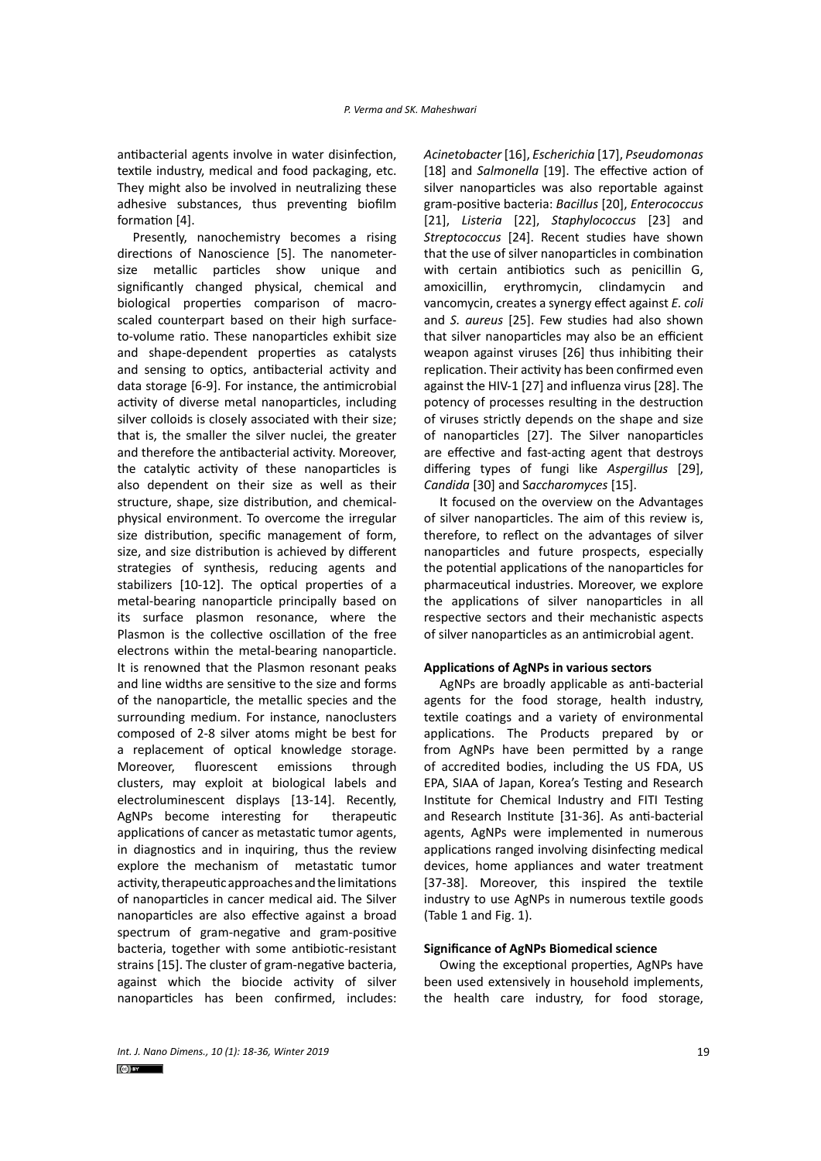antibacterial agents involve in water disinfection, textile industry, medical and food packaging, etc. They might also be involved in neutralizing these adhesive substances, thus preventing biofilm formation [4].

Presently, nanochemistry becomes a rising directions of Nanoscience [5]. The nanometersize metallic particles show unique and significantly changed physical, chemical and biological properties comparison of macroscaled counterpart based on their high surfaceto-volume ratio. These nanoparticles exhibit size and shape-dependent properties as catalysts and sensing to optics, antibacterial activity and data storage [6-9]. For instance, the antimicrobial activity of diverse metal nanoparticles, including silver colloids is closely associated with their size; that is, the smaller the silver nuclei, the greater and therefore the antibacterial activity. Moreover, the catalytic activity of these nanoparticles is also dependent on their size as well as their structure, shape, size distribution, and chemicalphysical environment. To overcome the irregular size distribution, specific management of form, size, and size distribution is achieved by different strategies of synthesis, reducing agents and stabilizers [10-12]. The optical properties of a metal-bearing nanoparticle principally based on its surface plasmon resonance, where the Plasmon is the collective oscillation of the free electrons within the metal-bearing nanoparticle. It is renowned that the Plasmon resonant peaks and line widths are sensitive to the size and forms of the nanoparticle, the metallic species and the surrounding medium. For instance, nanoclusters composed of 2-8 silver atoms might be best for a replacement of optical knowledge storage. Moreover, fluorescent emissions through clusters, may exploit at biological labels and electroluminescent displays [13-14]. Recently, AgNPs become interesting for therapeutic applications of cancer as metastatic tumor agents, in diagnostics and in inquiring, thus the review explore the mechanism of metastatic tumor activity, therapeutic approaches and the limitations of nanoparticles in cancer medical aid. The Silver nanoparticles are also effective against a broad spectrum of gram-negative and gram-positive bacteria, together with some antibiotic-resistant strains [15]. The cluster of gram-negative bacteria, against which the biocide activity of silver nanoparticles has been confirmed, includes:

*Acinetobacter* [16], *Escherichia* [17], *Pseudomonas*  [18] and *Salmonella* [19]. The effective action of silver nanoparticles was also reportable against gram-positive bacteria: *Bacillus* [20], *Enterococcus*  [21], *Listeria* [22], *Staphylococcus* [23] and *Streptococcus* [24]. Recent studies have shown that the use of silver nanoparticles in combination with certain antibiotics such as penicillin G, amoxicillin, erythromycin, clindamycin and vancomycin, creates a synergy effect against *E. coli*  and *S. aureus* [25]. Few studies had also shown that silver nanoparticles may also be an efficient weapon against viruses [26] thus inhibiting their replication. Their activity has been confirmed even against the HIV-1 [27] and influenza virus [28]. The potency of processes resulting in the destruction of viruses strictly depends on the shape and size of nanoparticles [27]. The Silver nanoparticles are effective and fast-acting agent that destroys differing types of fungi like *Aspergillus* [29], *Candida* [30] and S*accharomyces* [15].

It focused on the overview on the Advantages of silver nanoparticles. The aim of this review is, therefore, to reflect on the advantages of silver nanoparticles and future prospects, especially the potential applications of the nanoparticles for pharmaceutical industries. Moreover, we explore the applications of silver nanoparticles in all respective sectors and their mechanistic aspects of silver nanoparticles as an antimicrobial agent.

### **Applications of AgNPs in various sectors**

AgNPs are broadly applicable as anti-bacterial agents for the food storage, health industry, textile coatings and a variety of environmental applications. The Products prepared by or from AgNPs have been permitted by a range of accredited bodies, including the US FDA, US EPA, SIAA of Japan, Korea's Testing and Research Institute for Chemical Industry and FITI Testing and Research Institute [31-36]. As anti-bacterial agents, AgNPs were implemented in numerous applications ranged involving disinfecting medical devices, home appliances and water treatment [37-38]. Moreover, this inspired the textile industry to use AgNPs in numerous textile goods (Table 1 and Fig. 1).

## **Significance of AgNPs Biomedical science**

Owing the exceptional properties, AgNPs have been used extensively in household implements, the health care industry, for food storage,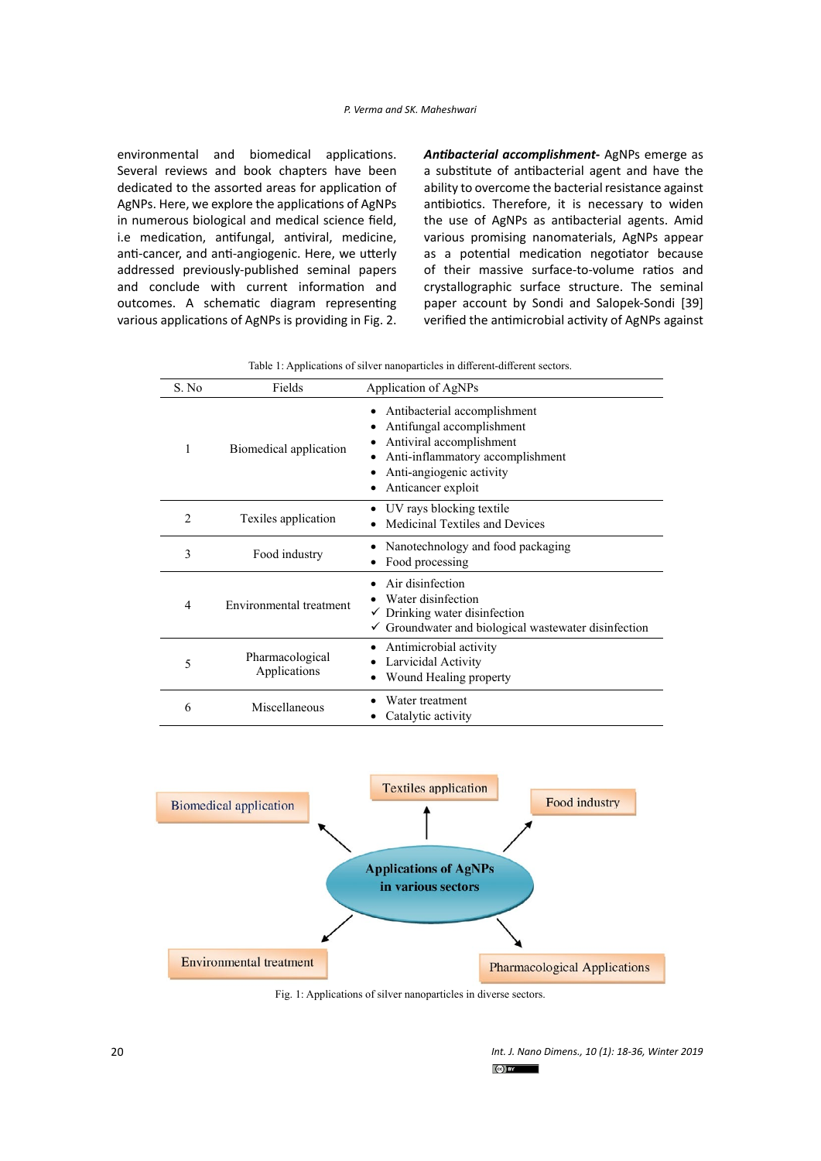environmental and biomedical applications. Several reviews and book chapters have been dedicated to the assorted areas for application of AgNPs. Here, we explore the applications of AgNPs in numerous biological and medical science field, i.e medication, antifungal, antiviral, medicine, anti-cancer, and anti-angiogenic. Here, we utterly addressed previously-published seminal papers and conclude with current information and outcomes. A schematic diagram representing various applications of AgNPs is providing in Fig. 2.

*Antibacterial accomplishment***-** AgNPs emerge as a substitute of antibacterial agent and have the ability to overcome the bacterial resistance against antibiotics. Therefore, it is necessary to widen the use of AgNPs as antibacterial agents. Amid various promising nanomaterials, AgNPs appear as a potential medication negotiator because of their massive surface-to-volume ratios and crystallographic surface structure. The seminal paper account by Sondi and Salopek-Sondi [39] verified the antimicrobial activity of AgNPs against

| Table 1: Applications of silver nanoparticles in different-different sectors. |  |
|-------------------------------------------------------------------------------|--|

| S. No          | Fields                          | Application of AgNPs                                                                                                                                                        |
|----------------|---------------------------------|-----------------------------------------------------------------------------------------------------------------------------------------------------------------------------|
|                | Biomedical application          | Antibacterial accomplishment<br>Antifungal accomplishment<br>Antiviral accomplishment<br>Anti-inflammatory accomplishment<br>Anti-angiogenic activity<br>Anticancer exploit |
| $\overline{c}$ | Texiles application             | UV rays blocking textile<br>Medicinal Textiles and Devices                                                                                                                  |
| 3              | Food industry                   | Nanotechnology and food packaging<br>Food processing                                                                                                                        |
| 4              | Environmental treatment         | Air disinfection<br>Water disinfection<br>$\checkmark$ Drinking water disinfection<br>$\checkmark$ Groundwater and biological wastewater disinfection                       |
| 5              | Pharmacological<br>Applications | Antimicrobial activity<br>Larvicidal Activity<br>Wound Healing property                                                                                                     |
| 6              | Miscellaneous                   | Water treatment<br>Catalytic activity                                                                                                                                       |



**Fig. 1: Applications of silver nanoparticles in diverse sectors.**  Fig. 1: Applications of silver nanoparticles in diverse sectors.

*Int. J. Nano Dimens., 10 (1): 18-36, Winter 2019*  $(cc)$  BY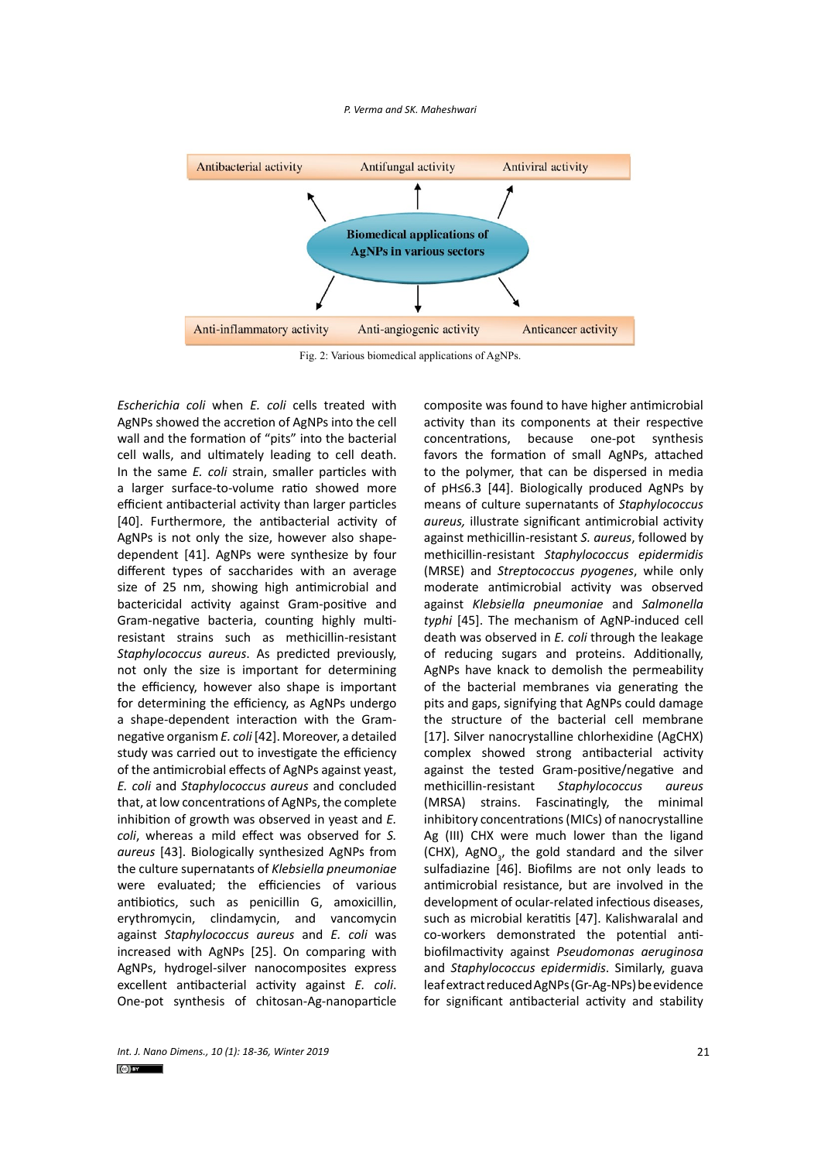#### *P. Verma and SK. Maheshwari*



Fig. 2: Various biomedical applications of AgNPs.

*Escherichia coli* when *E. coli* cells treated with AgNPs showed the accretion of AgNPs into the cell wall and the formation of "pits" into the bacterial cell walls, and ultimately leading to cell death. In the same *E. coli* strain, smaller particles with a larger surface-to-volume ratio showed more efficient antibacterial activity than larger particles [40]. Furthermore, the antibacterial activity of AgNPs is not only the size, however also shapedependent [41]. AgNPs were synthesize by four different types of saccharides with an average size of 25 nm, showing high antimicrobial and bactericidal activity against Gram-positive and Gram-negative bacteria, counting highly multiresistant strains such as methicillin-resistant *Staphylococcus aureus*. As predicted previously, not only the size is important for determining the efficiency, however also shape is important for determining the efficiency, as AgNPs undergo a shape-dependent interaction with the Gramnegative organism *E. coli* [42]. Moreover, a detailed study was carried out to investigate the efficiency of the antimicrobial effects of AgNPs against yeast, *E. coli* and *Staphylococcus aureus* and concluded that, at low concentrations of AgNPs, the complete inhibition of growth was observed in yeast and *E. coli*, whereas a mild effect was observed for *S. aureus* [43]. Biologically synthesized AgNPs from the culture supernatants of *Klebsiella pneumoniae*  were evaluated; the efficiencies of various antibiotics, such as penicillin G, amoxicillin, erythromycin, clindamycin, and vancomycin against *Staphylococcus aureus* and *E. coli* was increased with AgNPs [25]. On comparing with AgNPs, hydrogel-silver nanocomposites express excellent antibacterial activity against *E. coli*. One-pot synthesis of chitosan-Ag-nanoparticle

composite was found to have higher antimicrobial activity than its components at their respective concentrations, because one-pot synthesis favors the formation of small AgNPs, attached to the polymer, that can be dispersed in media of pH≤6.3 [44]. Biologically produced AgNPs by means of culture supernatants of *Staphylococcus aureus,* illustrate significant antimicrobial activity against methicillin-resistant *S. aureus*, followed by methicillin-resistant *Staphylococcus epidermidis*  (MRSE) and *Streptococcus pyogenes*, while only moderate antimicrobial activity was observed against *Klebsiella pneumoniae* and *Salmonella typhi* [45]. The mechanism of AgNP-induced cell death was observed in *E. coli* through the leakage of reducing sugars and proteins. Additionally, AgNPs have knack to demolish the permeability of the bacterial membranes via generating the pits and gaps, signifying that AgNPs could damage the structure of the bacterial cell membrane [17]. Silver nanocrystalline chlorhexidine (AgCHX) complex showed strong antibacterial activity against the tested Gram-positive/negative and methicillin-resistant *Staphylococcus aureus* (MRSA) strains. Fascinatingly, the minimal inhibitory concentrations (MICs) of nanocrystalline Ag (III) CHX were much lower than the ligand (CHX), AgNO<sub>3</sub>, the gold standard and the silver sulfadiazine [46]. Biofilms are not only leads to antimicrobial resistance, but are involved in the development of ocular-related infectious diseases, such as microbial keratitis [47]. Kalishwaralal and co-workers demonstrated the potential antibiofilmactivity against *Pseudomonas aeruginosa*  and *Staphylococcus epidermidis*. Similarly, guava leaf extract reduced AgNPs (Gr-Ag-NPs) be evidence for significant antibacterial activity and stability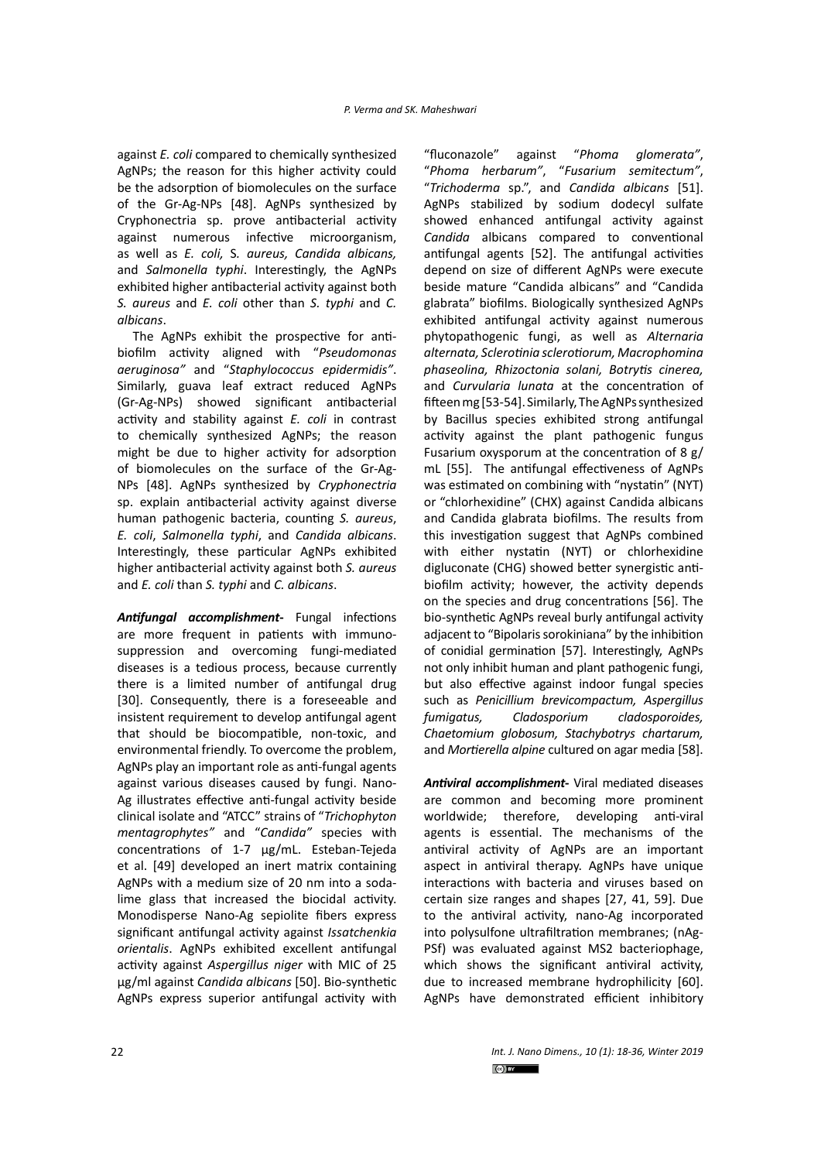against *E. coli* compared to chemically synthesized AgNPs; the reason for this higher activity could be the adsorption of biomolecules on the surface of the Gr-Ag-NPs [48]. AgNPs synthesized by Cryphonectria sp. prove antibacterial activity against numerous infective microorganism, as well as *E. coli,* S*. aureus, Candida albicans,* and *Salmonella typhi*. Interestingly, the AgNPs exhibited higher antibacterial activity against both *S. aureus* and *E. coli* other than *S. typhi* and *C. albicans*.

The AgNPs exhibit the prospective for antibiofilm activity aligned with "*Pseudomonas aeruginosa"* and "*Staphylococcus epidermidis"*. Similarly, guava leaf extract reduced AgNPs (Gr-Ag-NPs) showed significant antibacterial activity and stability against *E. coli* in contrast to chemically synthesized AgNPs; the reason might be due to higher activity for adsorption of biomolecules on the surface of the Gr-Ag-NPs [48]. AgNPs synthesized by *Cryphonectria*  sp. explain antibacterial activity against diverse human pathogenic bacteria, counting *S. aureus*, *E. coli*, *Salmonella typhi*, and *Candida albicans*. Interestingly, these particular AgNPs exhibited higher antibacterial activity against both *S. aureus*  and *E. coli* than *S. typhi* and *C. albicans*.

*Antifungal accomplishment***-** Fungal infections are more frequent in patients with immunosuppression and overcoming fungi-mediated diseases is a tedious process, because currently there is a limited number of antifungal drug [30]. Consequently, there is a foreseeable and insistent requirement to develop antifungal agent that should be biocompatible, non-toxic, and environmental friendly. To overcome the problem, AgNPs play an important role as anti-fungal agents against various diseases caused by fungi. Nano-Ag illustrates effective anti-fungal activity beside clinical isolate and "ATCC" strains of "*Trichophyton mentagrophytes"* and "*Candida"* species with concentrations of 1-7 μg/mL. Esteban-Tejeda et al. [49] developed an inert matrix containing AgNPs with a medium size of 20 nm into a sodalime glass that increased the biocidal activity. Monodisperse Nano-Ag sepiolite fibers express significant antifungal activity against *Issatchenkia orientalis*. AgNPs exhibited excellent antifungal activity against *Aspergillus niger* with MIC of 25 μg/ml against *Candida albicans* [50]. Bio-synthetic AgNPs express superior antifungal activity with

"fluconazole" against "*Phoma glomerata"*, "*Phoma herbarum"*, "*Fusarium semitectum"*, "*Trichoderma* sp.", and *Candida albicans* [51]. AgNPs stabilized by sodium dodecyl sulfate showed enhanced antifungal activity against *Candida* albicans compared to conventional antifungal agents [52]. The antifungal activities depend on size of different AgNPs were execute beside mature "Candida albicans" and "Candida glabrata" biofilms. Biologically synthesized AgNPs exhibited antifungal activity against numerous phytopathogenic fungi, as well as *Alternaria alternata, Sclerotinia sclerotiorum, Macrophomina phaseolina, Rhizoctonia solani, Botrytis cinerea,*  and *Curvularia lunata* at the concentration of fifteen mg [53-54]. Similarly, The AgNPs synthesized by Bacillus species exhibited strong antifungal activity against the plant pathogenic fungus Fusarium oxysporum at the concentration of 8 g/ mL [55]. The antifungal effectiveness of AgNPs was estimated on combining with "nystatin" (NYT) or "chlorhexidine" (CHX) against Candida albicans and Candida glabrata biofilms. The results from this investigation suggest that AgNPs combined with either nystatin (NYT) or chlorhexidine digluconate (CHG) showed better synergistic antibiofilm activity; however, the activity depends on the species and drug concentrations [56]. The bio-synthetic AgNPs reveal burly antifungal activity adjacent to "Bipolaris sorokiniana" by the inhibition of conidial germination [57]. Interestingly, AgNPs not only inhibit human and plant pathogenic fungi, but also effective against indoor fungal species such as *Penicillium brevicompactum, Aspergillus fumigatus, Cladosporium cladosporoides, Chaetomium globosum, Stachybotrys chartarum,*  and *Mortierella alpine* cultured on agar media [58].

*Antiviral accomplishment***-** Viral mediated diseases are common and becoming more prominent worldwide; therefore, developing anti-viral agents is essential. The mechanisms of the antiviral activity of AgNPs are an important aspect in antiviral therapy. AgNPs have unique interactions with bacteria and viruses based on certain size ranges and shapes [27, 41, 59]. Due to the antiviral activity, nano-Ag incorporated into polysulfone ultrafiltration membranes; (nAg-PSf) was evaluated against MS2 bacteriophage, which shows the significant antiviral activity, due to increased membrane hydrophilicity [60]. AgNPs have demonstrated efficient inhibitory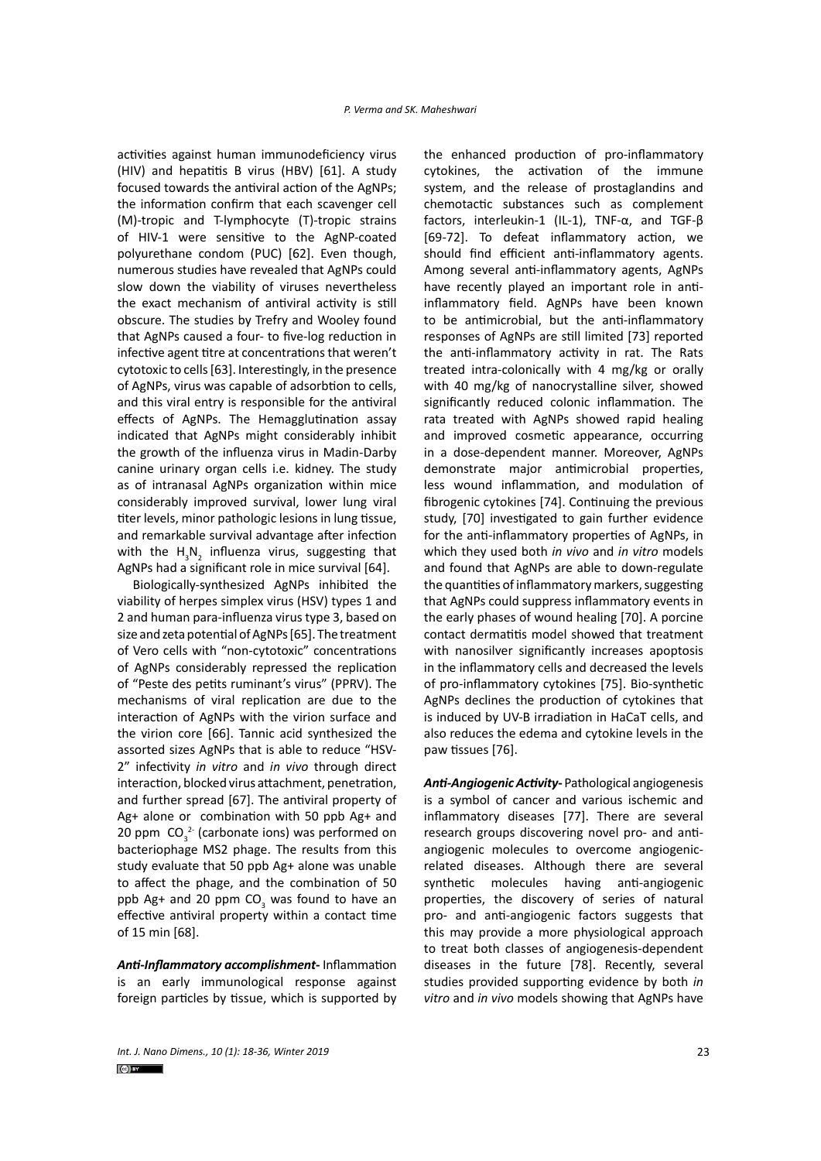activities against human immunodeficiency virus (HIV) and hepatitis B virus (HBV) [61]. A study focused towards the antiviral action of the AgNPs; the information confirm that each scavenger cell (M)-tropic and T-lymphocyte (T)-tropic strains of HIV-1 were sensitive to the AgNP-coated polyurethane condom (PUC) [62]. Even though, numerous studies have revealed that AgNPs could slow down the viability of viruses nevertheless the exact mechanism of antiviral activity is still obscure. The studies by Trefry and Wooley found that AgNPs caused a four- to five-log reduction in infective agent titre at concentrations that weren't cytotoxic to cells [63]. Interestingly, in the presence of AgNPs, virus was capable of adsorbtion to cells, and this viral entry is responsible for the antiviral effects of AgNPs. The Hemagglutination assay indicated that AgNPs might considerably inhibit the growth of the influenza virus in Madin-Darby canine urinary organ cells i.e. kidney. The study as of intranasal AgNPs organization within mice considerably improved survival, lower lung viral titer levels, minor pathologic lesions in lung tissue, and remarkable survival advantage after infection with the  $H_3N_2$  influenza virus, suggesting that AgNPs had a significant role in mice survival [64].

Biologically-synthesized AgNPs inhibited the viability of herpes simplex virus (HSV) types 1 and 2 and human para-influenza virus type 3, based on size and zeta potential of AgNPs [65]. The treatment of Vero cells with "non-cytotoxic" concentrations of AgNPs considerably repressed the replication of "Peste des petits ruminant's virus" (PPRV). The mechanisms of viral replication are due to the interaction of AgNPs with the virion surface and the virion core [66]. Tannic acid synthesized the assorted sizes AgNPs that is able to reduce "HSV-2" infectivity *in vitro* and *in vivo* through direct interaction, blocked virus attachment, penetration, and further spread [67]. The antiviral property of Ag+ alone or combination with 50 ppb Ag+ and 20 ppm  $CO_3^2$  (carbonate ions) was performed on bacteriophage MS2 phage. The results from this study evaluate that 50 ppb Ag+ alone was unable to affect the phage, and the combination of 50 ppb Ag+ and 20 ppm  $CO<sub>3</sub>$  was found to have an effective antiviral property within a contact time of 15 min [68].

*Anti-Inflammatory accomplishment***-** Inflammation is an early immunological response against foreign particles by tissue, which is supported by

the enhanced production of pro-inflammatory cytokines, the activation of the immune system, and the release of prostaglandins and chemotactic substances such as complement factors, interleukin-1 (IL-1), TNF-α, and TGF-β [69-72]. To defeat inflammatory action, we should find efficient anti-inflammatory agents. Among several anti-inflammatory agents, AgNPs have recently played an important role in antiinflammatory field. AgNPs have been known to be antimicrobial, but the anti-inflammatory responses of AgNPs are still limited [73] reported the anti-inflammatory activity in rat. The Rats treated intra-colonically with 4 mg/kg or orally with 40 mg/kg of nanocrystalline silver, showed significantly reduced colonic inflammation. The rata treated with AgNPs showed rapid healing and improved cosmetic appearance, occurring in a dose-dependent manner. Moreover, AgNPs demonstrate major antimicrobial properties, less wound inflammation, and modulation of fibrogenic cytokines [74]. Continuing the previous study, [70] investigated to gain further evidence for the anti-inflammatory properties of AgNPs, in which they used both *in vivo* and *in vitro* models and found that AgNPs are able to down-regulate the quantities of inflammatory markers, suggesting that AgNPs could suppress inflammatory events in the early phases of wound healing [70]. A porcine contact dermatitis model showed that treatment with nanosilver significantly increases apoptosis in the inflammatory cells and decreased the levels of pro-inflammatory cytokines [75]. Bio-synthetic AgNPs declines the production of cytokines that is induced by UV-B irradiation in HaCaT cells, and also reduces the edema and cytokine levels in the paw tissues [76].

*Anti-Angiogenic Activity***-** Pathological angiogenesis is a symbol of cancer and various ischemic and inflammatory diseases [77]. There are several research groups discovering novel pro- and antiangiogenic molecules to overcome angiogenicrelated diseases. Although there are several synthetic molecules having anti-angiogenic properties, the discovery of series of natural pro- and anti-angiogenic factors suggests that this may provide a more physiological approach to treat both classes of angiogenesis-dependent diseases in the future [78]. Recently, several studies provided supporting evidence by both *in vitro* and *in vivo* models showing that AgNPs have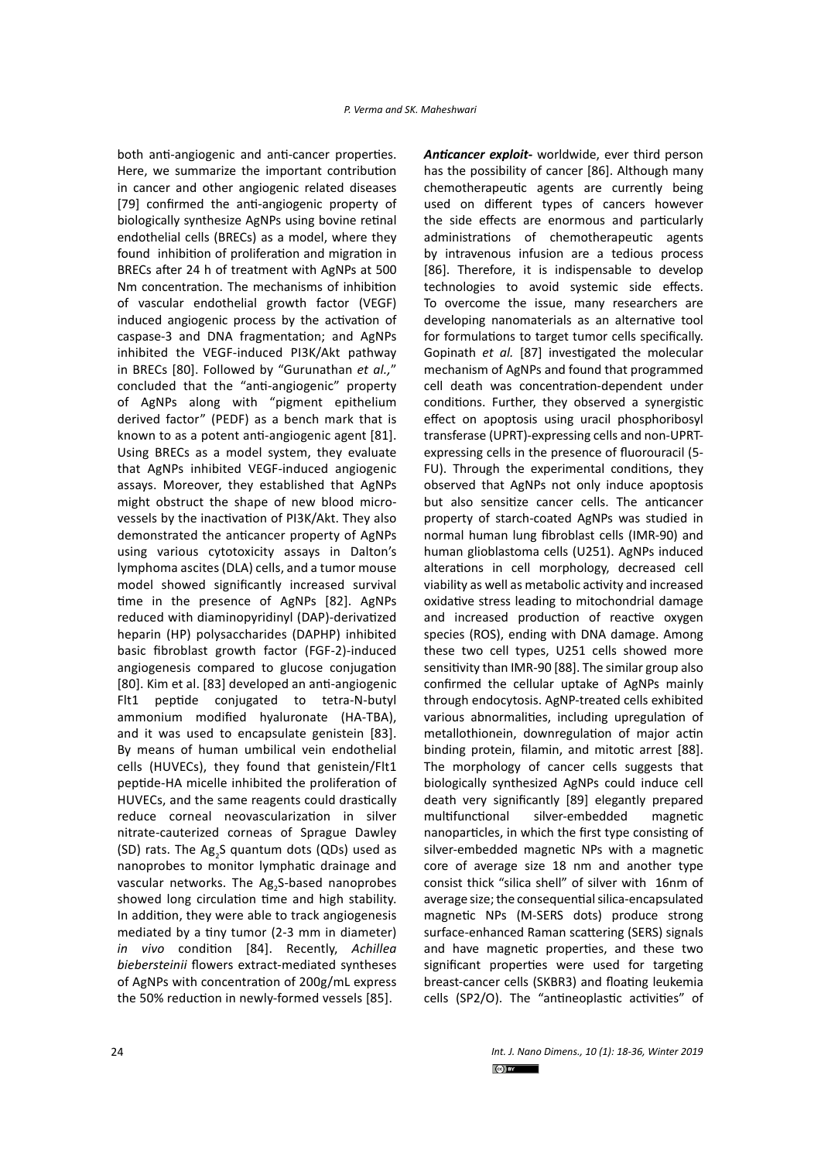both anti-angiogenic and anti-cancer properties. Here, we summarize the important contribution in cancer and other angiogenic related diseases [79] confirmed the anti-angiogenic property of biologically synthesize AgNPs using bovine retinal endothelial cells (BRECs) as a model, where they found inhibition of proliferation and migration in BRECs after 24 h of treatment with AgNPs at 500 Nm concentration. The mechanisms of inhibition of vascular endothelial growth factor (VEGF) induced angiogenic process by the activation of caspase-3 and DNA fragmentation; and AgNPs inhibited the VEGF-induced PI3K/Akt pathway in BRECs [80]. Followed by "Gurunathan *et al.,*" concluded that the "anti-angiogenic" property of AgNPs along with "pigment epithelium derived factor" (PEDF) as a bench mark that is known to as a potent anti-angiogenic agent [81]. Using BRECs as a model system, they evaluate that AgNPs inhibited VEGF-induced angiogenic assays. Moreover, they established that AgNPs might obstruct the shape of new blood microvessels by the inactivation of PI3K/Akt. They also demonstrated the anticancer property of AgNPs using various cytotoxicity assays in Dalton's lymphoma ascites (DLA) cells, and a tumor mouse model showed significantly increased survival time in the presence of AgNPs [82]. AgNPs reduced with diaminopyridinyl (DAP)-derivatized heparin (HP) polysaccharides (DAPHP) inhibited basic fibroblast growth factor (FGF-2)-induced angiogenesis compared to glucose conjugation [80]. Kim et al. [83] developed an anti-angiogenic Flt1 peptide conjugated to tetra-N-butyl ammonium modified hyaluronate (HA-TBA), and it was used to encapsulate genistein [83]. By means of human umbilical vein endothelial cells (HUVECs), they found that genistein/Flt1 peptide-HA micelle inhibited the proliferation of HUVECs, and the same reagents could drastically reduce corneal neovascularization in silver nitrate-cauterized corneas of Sprague Dawley (SD) rats. The  $Ag_{2}S$  quantum dots (QDs) used as nanoprobes to monitor lymphatic drainage and vascular networks. The Ag<sub>2</sub>S-based nanoprobes showed long circulation time and high stability. In addition, they were able to track angiogenesis mediated by a tiny tumor (2-3 mm in diameter) *in vivo* condition [84]. Recently, *Achillea biebersteinii* flowers extract-mediated syntheses of AgNPs with concentration of 200g/mL express the 50% reduction in newly-formed vessels [85].

*Anticancer exploit***-** worldwide, ever third person has the possibility of cancer [86]. Although many chemotherapeutic agents are currently being used on different types of cancers however the side effects are enormous and particularly administrations of chemotherapeutic agents by intravenous infusion are a tedious process [86]. Therefore, it is indispensable to develop technologies to avoid systemic side effects. To overcome the issue, many researchers are developing nanomaterials as an alternative tool for formulations to target tumor cells specifically. Gopinath *et al.* [87] investigated the molecular mechanism of AgNPs and found that programmed cell death was concentration-dependent under conditions. Further, they observed a synergistic effect on apoptosis using uracil phosphoribosyl transferase (UPRT)-expressing cells and non-UPRTexpressing cells in the presence of fluorouracil (5- FU). Through the experimental conditions, they observed that AgNPs not only induce apoptosis but also sensitize cancer cells. The anticancer property of starch-coated AgNPs was studied in normal human lung fibroblast cells (IMR-90) and human glioblastoma cells (U251). AgNPs induced alterations in cell morphology, decreased cell viability as well as metabolic activity and increased oxidative stress leading to mitochondrial damage and increased production of reactive oxygen species (ROS), ending with DNA damage. Among these two cell types, U251 cells showed more sensitivity than IMR-90 [88]. The similar group also confirmed the cellular uptake of AgNPs mainly through endocytosis. AgNP-treated cells exhibited various abnormalities, including upregulation of metallothionein, downregulation of major actin binding protein, filamin, and mitotic arrest [88]. The morphology of cancer cells suggests that biologically synthesized AgNPs could induce cell death very significantly [89] elegantly prepared multifunctional silver-embedded magnetic nanoparticles, in which the first type consisting of silver-embedded magnetic NPs with a magnetic core of average size 18 nm and another type consist thick "silica shell" of silver with 16nm of average size; the consequential silica-encapsulated magnetic NPs (M-SERS dots) produce strong surface-enhanced Raman scattering (SERS) signals and have magnetic properties, and these two significant properties were used for targeting breast-cancer cells (SKBR3) and floating leukemia cells (SP2/O). The "antineoplastic activities" of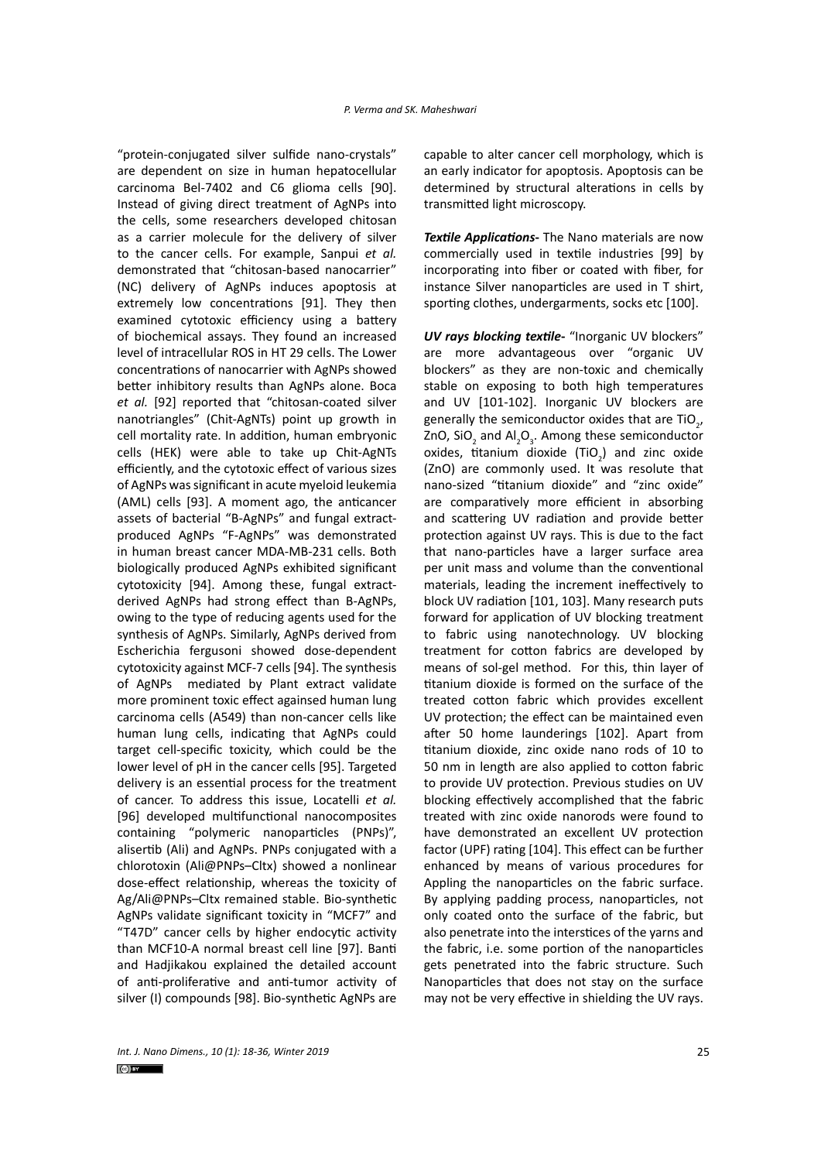"protein-conjugated silver sulfide nano-crystals" are dependent on size in human hepatocellular carcinoma Bel-7402 and C6 glioma cells [90]. Instead of giving direct treatment of AgNPs into the cells, some researchers developed chitosan as a carrier molecule for the delivery of silver to the cancer cells. For example, Sanpui *et al.* demonstrated that "chitosan-based nanocarrier" (NC) delivery of AgNPs induces apoptosis at extremely low concentrations [91]. They then examined cytotoxic efficiency using a battery of biochemical assays. They found an increased level of intracellular ROS in HT 29 cells. The Lower concentrations of nanocarrier with AgNPs showed better inhibitory results than AgNPs alone. Boca *et al.* [92] reported that "chitosan-coated silver nanotriangles" (Chit-AgNTs) point up growth in cell mortality rate. In addition, human embryonic cells (HEK) were able to take up Chit-AgNTs efficiently, and the cytotoxic effect of various sizes of AgNPs was significant in acute myeloid leukemia (AML) cells [93]. A moment ago, the anticancer assets of bacterial "B-AgNPs" and fungal extractproduced AgNPs "F-AgNPs" was demonstrated in human breast cancer MDA-MB-231 cells. Both biologically produced AgNPs exhibited significant cytotoxicity [94]. Among these, fungal extractderived AgNPs had strong effect than B-AgNPs, owing to the type of reducing agents used for the synthesis of AgNPs. Similarly, AgNPs derived from Escherichia fergusoni showed dose-dependent cytotoxicity against MCF-7 cells [94]. The synthesis of AgNPs mediated by Plant extract validate more prominent toxic effect againsed human lung carcinoma cells (A549) than non-cancer cells like human lung cells, indicating that AgNPs could target cell-specific toxicity, which could be the lower level of pH in the cancer cells [95]. Targeted delivery is an essential process for the treatment of cancer. To address this issue, Locatelli *et al.*  [96] developed multifunctional nanocomposites containing "polymeric nanoparticles (PNPs)", alisertib (Ali) and AgNPs. PNPs conjugated with a chlorotoxin (Ali@PNPs–Cltx) showed a nonlinear dose-effect relationship, whereas the toxicity of Ag/Ali@PNPs–Cltx remained stable. Bio-synthetic AgNPs validate significant toxicity in "MCF7" and "T47D" cancer cells by higher endocytic activity than MCF10-A normal breast cell line [97]. Banti and Hadjikakou explained the detailed account of anti-proliferative and anti-tumor activity of silver (I) compounds [98]. Bio-synthetic AgNPs are

capable to alter cancer cell morphology, which is an early indicator for apoptosis. Apoptosis can be determined by structural alterations in cells by transmitted light microscopy.

*Textile Applications***-** The Nano materials are now commercially used in textile industries [99] by incorporating into fiber or coated with fiber, for instance Silver nanoparticles are used in T shirt, sporting clothes, undergarments, socks etc [100].

*UV rays blocking textile***-** "Inorganic UV blockers" are more advantageous over "organic UV blockers" as they are non-toxic and chemically stable on exposing to both high temperatures and UV [101-102]. Inorganic UV blockers are generally the semiconductor oxides that are TiO<sub>2</sub>, ZnO, SiO<sub>2</sub> and Al<sub>2</sub>O<sub>3</sub>. Among these semiconductor oxides, titanium dioxide  $(TIO<sub>2</sub>)$  and zinc oxide (ZnO) are commonly used. It was resolute that nano-sized "titanium dioxide" and "zinc oxide" are comparatively more efficient in absorbing and scattering UV radiation and provide better protection against UV rays. This is due to the fact that nano-particles have a larger surface area per unit mass and volume than the conventional materials, leading the increment ineffectively to block UV radiation [101, 103]. Many research puts forward for application of UV blocking treatment to fabric using nanotechnology. UV blocking treatment for cotton fabrics are developed by means of sol-gel method. For this, thin layer of titanium dioxide is formed on the surface of the treated cotton fabric which provides excellent UV protection; the effect can be maintained even after 50 home launderings [102]. Apart from titanium dioxide, zinc oxide nano rods of 10 to 50 nm in length are also applied to cotton fabric to provide UV protection. Previous studies on UV blocking effectively accomplished that the fabric treated with zinc oxide nanorods were found to have demonstrated an excellent UV protection factor (UPF) rating [104]. This effect can be further enhanced by means of various procedures for Appling the nanoparticles on the fabric surface. By applying padding process, nanoparticles, not only coated onto the surface of the fabric, but also penetrate into the interstices of the yarns and the fabric, i.e. some portion of the nanoparticles gets penetrated into the fabric structure. Such Nanoparticles that does not stay on the surface may not be very effective in shielding the UV rays.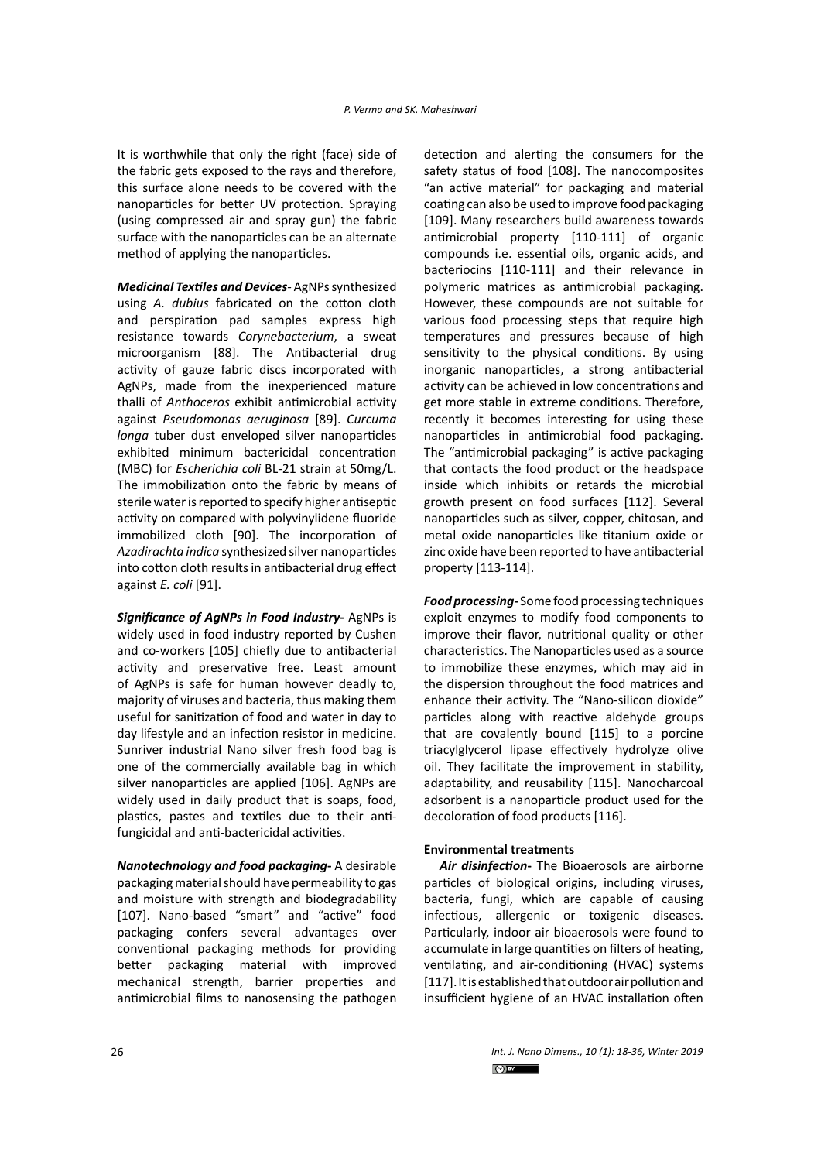It is worthwhile that only the right (face) side of the fabric gets exposed to the rays and therefore, this surface alone needs to be covered with the nanoparticles for better UV protection. Spraying (using compressed air and spray gun) the fabric surface with the nanoparticles can be an alternate method of applying the nanoparticles.

*Medicinal Textiles and Devices-* AgNPs synthesized using *A. dubius* fabricated on the cotton cloth and perspiration pad samples express high resistance towards *Corynebacterium*, a sweat microorganism [88]. The Antibacterial drug activity of gauze fabric discs incorporated with AgNPs, made from the inexperienced mature thalli of *Anthoceros* exhibit antimicrobial activity against *Pseudomonas aeruginosa* [89]. *Curcuma longa* tuber dust enveloped silver nanoparticles exhibited minimum bactericidal concentration (MBC) for *Escherichia coli* BL-21 strain at 50mg/L. The immobilization onto the fabric by means of sterile water is reported to specify higher antiseptic activity on compared with polyvinylidene fluoride immobilized cloth [90]. The incorporation of *Azadirachta indica* synthesized silver nanoparticles into cotton cloth results in antibacterial drug effect against *E. coli* [91].

*Significance of AgNPs in Food Industry***-** AgNPs is widely used in food industry reported by Cushen and co-workers [105] chiefly due to antibacterial activity and preservative free. Least amount of AgNPs is safe for human however deadly to, majority of viruses and bacteria, thus making them useful for sanitization of food and water in day to day lifestyle and an infection resistor in medicine. Sunriver industrial Nano silver fresh food bag is one of the commercially available bag in which silver nanoparticles are applied [106]. AgNPs are widely used in daily product that is soaps, food, plastics, pastes and textiles due to their antifungicidal and anti-bactericidal activities.

*Nanotechnology and food packaging***-** A desirable packaging material should have permeability to gas and moisture with strength and biodegradability [107]. Nano-based "smart" and "active" food packaging confers several advantages over conventional packaging methods for providing better packaging material with improved mechanical strength, barrier properties and antimicrobial films to nanosensing the pathogen

detection and alerting the consumers for the safety status of food [108]. The nanocomposites "an active material" for packaging and material coating can also be used to improve food packaging [109]. Many researchers build awareness towards antimicrobial property [110-111] of organic compounds i.e. essential oils, organic acids, and bacteriocins [110-111] and their relevance in polymeric matrices as antimicrobial packaging. However, these compounds are not suitable for various food processing steps that require high temperatures and pressures because of high sensitivity to the physical conditions. By using inorganic nanoparticles, a strong antibacterial activity can be achieved in low concentrations and get more stable in extreme conditions. Therefore, recently it becomes interesting for using these nanoparticles in antimicrobial food packaging. The "antimicrobial packaging" is active packaging that contacts the food product or the headspace inside which inhibits or retards the microbial growth present on food surfaces [112]. Several nanoparticles such as silver, copper, chitosan, and metal oxide nanoparticles like titanium oxide or zinc oxide have been reported to have antibacterial property [113-114].

*Food processing***-** Some food processing techniques exploit enzymes to modify food components to improve their flavor, nutritional quality or other characteristics. The Nanoparticles used as a source to immobilize these enzymes, which may aid in the dispersion throughout the food matrices and enhance their activity. The "Nano-silicon dioxide" particles along with reactive aldehyde groups that are covalently bound [115] to a porcine triacylglycerol lipase effectively hydrolyze olive oil. They facilitate the improvement in stability, adaptability, and reusability [115]. Nanocharcoal adsorbent is a nanoparticle product used for the decoloration of food products [116].

### **Environmental treatments**

*Air disinfection***-** The Bioaerosols are airborne particles of biological origins, including viruses, bacteria, fungi, which are capable of causing infectious, allergenic or toxigenic diseases. Particularly, indoor air bioaerosols were found to accumulate in large quantities on filters of heating, ventilating, and air-conditioning (HVAC) systems [117]. It is established that outdoor air pollution and insufficient hygiene of an HVAC installation often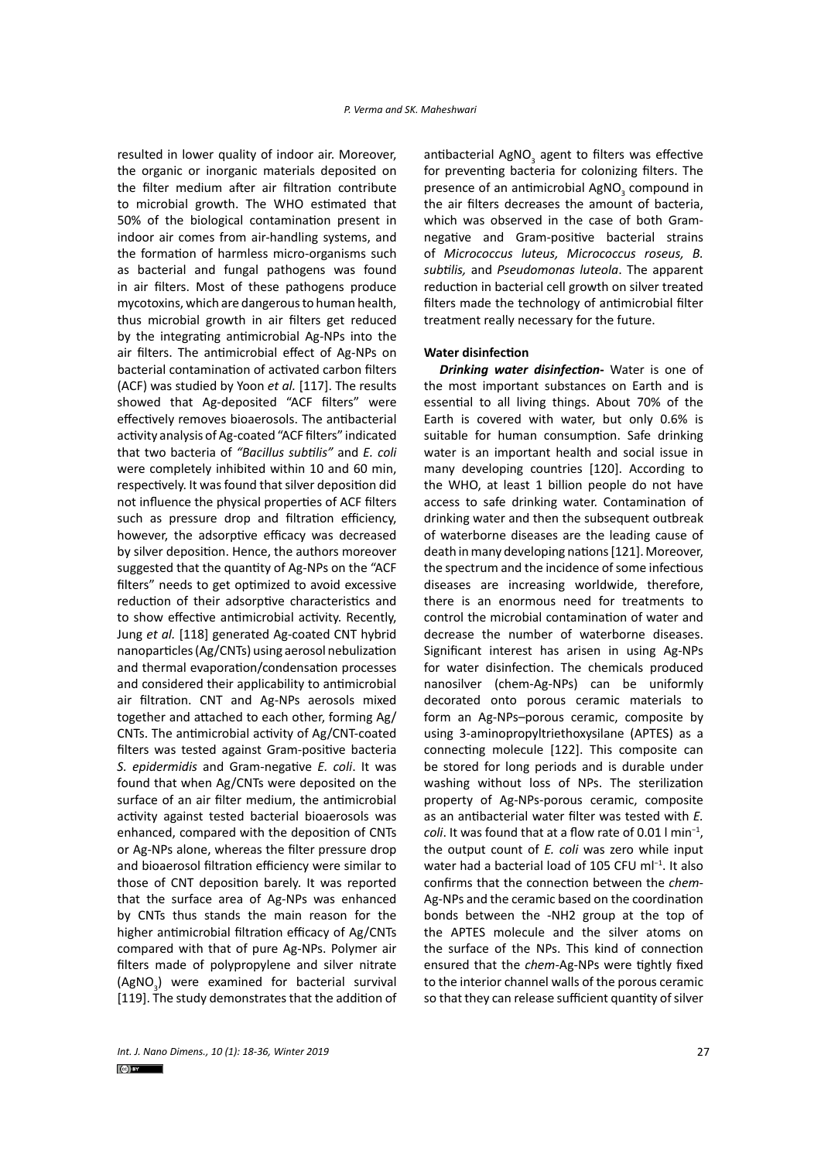resulted in lower quality of indoor air. Moreover, the organic or inorganic materials deposited on the filter medium after air filtration contribute to microbial growth. The WHO estimated that 50% of the biological contamination present in indoor air comes from air-handling systems, and the formation of harmless micro-organisms such as bacterial and fungal pathogens was found in air filters. Most of these pathogens produce mycotoxins, which are dangerous to human health, thus microbial growth in air filters get reduced by the integrating antimicrobial Ag-NPs into the air filters. The antimicrobial effect of Ag-NPs on bacterial contamination of activated carbon filters (ACF) was studied by Yoon *et al.* [117]. The results showed that Ag-deposited "ACF filters" were effectively removes bioaerosols. The antibacterial activity analysis of Ag-coated "ACF filters" indicated that two bacteria of *"Bacillus subtilis"* and *E. coli*  were completely inhibited within 10 and 60 min, respectively. It was found that silver deposition did not influence the physical properties of ACF filters such as pressure drop and filtration efficiency, however, the adsorptive efficacy was decreased by silver deposition. Hence, the authors moreover suggested that the quantity of Ag-NPs on the "ACF filters" needs to get optimized to avoid excessive reduction of their adsorptive characteristics and to show effective antimicrobial activity. Recently, Jung *et al.* [118] generated Ag-coated CNT hybrid nanoparticles (Ag/CNTs) using aerosol nebulization and thermal evaporation/condensation processes and considered their applicability to antimicrobial air filtration. CNT and Ag-NPs aerosols mixed together and attached to each other, forming Ag/ CNTs. The antimicrobial activity of Ag/CNT-coated filters was tested against Gram-positive bacteria *S. epidermidis* and Gram-negative *E. coli*. It was found that when Ag/CNTs were deposited on the surface of an air filter medium, the antimicrobial activity against tested bacterial bioaerosols was enhanced, compared with the deposition of CNTs or Ag-NPs alone, whereas the filter pressure drop and bioaerosol filtration efficiency were similar to those of CNT deposition barely. It was reported that the surface area of Ag-NPs was enhanced by CNTs thus stands the main reason for the higher antimicrobial filtration efficacy of Ag/CNTs compared with that of pure Ag-NPs. Polymer air filters made of polypropylene and silver nitrate  $(AgNO<sub>3</sub>)$  were examined for bacterial survival [119]. The study demonstrates that the addition of antibacterial AgNO<sub>3</sub> agent to filters was effective for preventing bacteria for colonizing filters. The presence of an antimicrobial AgNO<sub>3</sub> compound in the air filters decreases the amount of bacteria, which was observed in the case of both Gramnegative and Gram-positive bacterial strains of *Micrococcus luteus, Micrococcus roseus, B. subtilis,* and *Pseudomonas luteola*. The apparent reduction in bacterial cell growth on silver treated filters made the technology of antimicrobial filter treatment really necessary for the future.

## **Water disinfection**

*Drinking water disinfection***-** Water is one of the most important substances on Earth and is essential to all living things. About 70% of the Earth is covered with water, but only 0.6% is suitable for human consumption. Safe drinking water is an important health and social issue in many developing countries [120]. According to the WHO, at least 1 billion people do not have access to safe drinking water. Contamination of drinking water and then the subsequent outbreak of waterborne diseases are the leading cause of death in many developing nations [121]. Moreover, the spectrum and the incidence of some infectious diseases are increasing worldwide, therefore, there is an enormous need for treatments to control the microbial contamination of water and decrease the number of waterborne diseases. Significant interest has arisen in using Ag-NPs for water disinfection. The chemicals produced nanosilver (chem-Ag-NPs) can be uniformly decorated onto porous ceramic materials to form an Ag-NPs–porous ceramic, composite by using 3-aminopropyltriethoxysilane (APTES) as a connecting molecule [122]. This composite can be stored for long periods and is durable under washing without loss of NPs. The sterilization property of Ag-NPs-porous ceramic, composite as an antibacterial water filter was tested with *E. coli*. It was found that at a flow rate of 0.01 l min−1, the output count of *E. coli* was zero while input water had a bacterial load of 105 CFU ml<sup>-1</sup>. It also confirms that the connection between the *chem*-Ag-NPs and the ceramic based on the coordination bonds between the -NH2 group at the top of the APTES molecule and the silver atoms on the surface of the NPs. This kind of connection ensured that the *chem*-Ag-NPs were tightly fixed to the interior channel walls of the porous ceramic so that they can release sufficient quantity of silver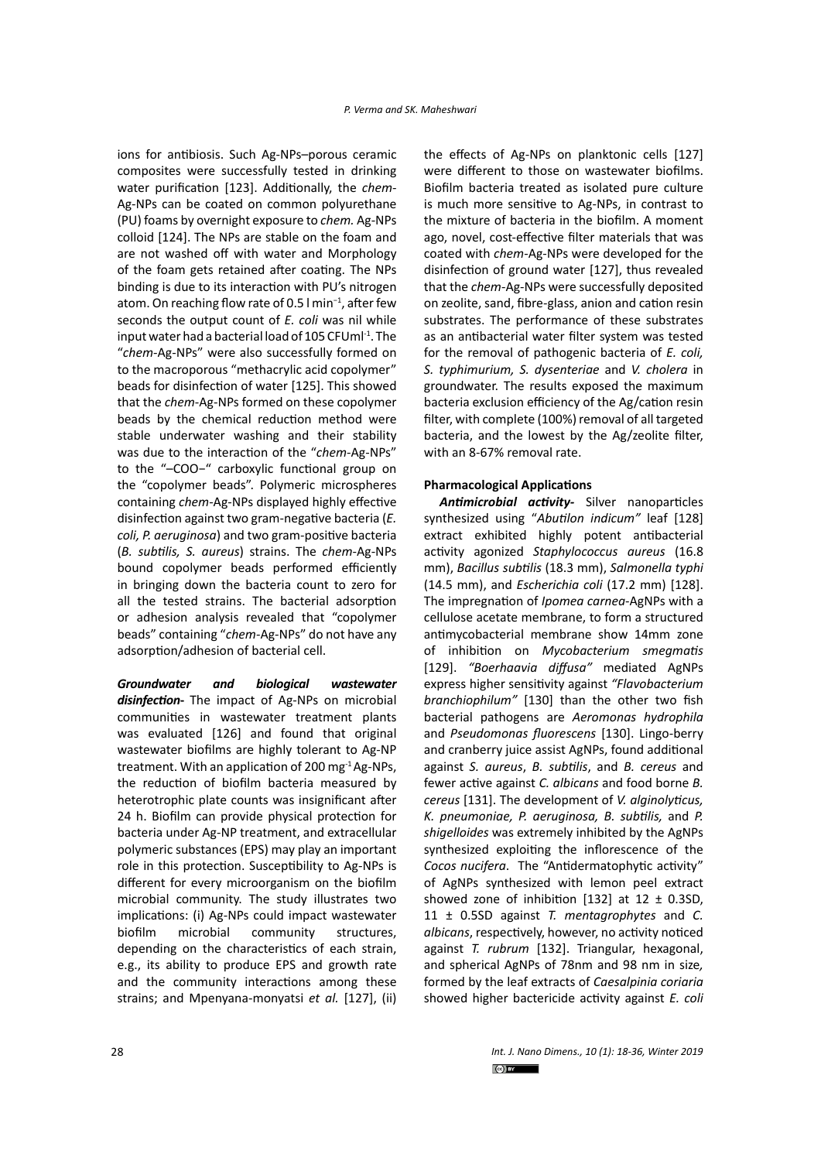ions for antibiosis. Such Ag-NPs–porous ceramic composites were successfully tested in drinking water purification [123]. Additionally, the *chem*-Ag-NPs can be coated on common polyurethane (PU) foams by overnight exposure to *chem.* Ag-NPs colloid [124]. The NPs are stable on the foam and are not washed off with water and Morphology of the foam gets retained after coating. The NPs binding is due to its interaction with PU's nitrogen atom. On reaching flow rate of 0.5 l min−1, after few seconds the output count of *E. coli* was nil while input water had a bacterial load of 105 CFUml-1. The "*chem*-Ag-NPs" were also successfully formed on to the macroporous "methacrylic acid copolymer" beads for disinfection of water [125]. This showed that the *chem*-Ag-NPs formed on these copolymer beads by the chemical reduction method were stable underwater washing and their stability was due to the interaction of the "*chem*-Ag-NPs" to the "–COO−" carboxylic functional group on the "copolymer beads". Polymeric microspheres containing *chem*-Ag-NPs displayed highly effective disinfection against two gram-negative bacteria (*E. coli, P. aeruginosa*) and two gram-positive bacteria (*B. subtilis, S. aureus*) strains. The *chem*-Ag-NPs bound copolymer beads performed efficiently in bringing down the bacteria count to zero for all the tested strains. The bacterial adsorption or adhesion analysis revealed that "copolymer beads" containing "*chem*-Ag-NPs" do not have any adsorption/adhesion of bacterial cell.

*Groundwater and biological wastewater disinfection***-** The impact of Ag-NPs on microbial communities in wastewater treatment plants was evaluated [126] and found that original wastewater biofilms are highly tolerant to Ag-NP treatment. With an application of 200 mg<sup>-1</sup> Ag-NPs, the reduction of biofilm bacteria measured by heterotrophic plate counts was insignificant after 24 h. Biofilm can provide physical protection for bacteria under Ag-NP treatment, and extracellular polymeric substances (EPS) may play an important role in this protection. Susceptibility to Ag-NPs is different for every microorganism on the biofilm microbial community. The study illustrates two implications: (i) Ag-NPs could impact wastewater biofilm microbial community structures, depending on the characteristics of each strain, e.g., its ability to produce EPS and growth rate and the community interactions among these strains; and Mpenyana-monyatsi *et al.* [127], (ii)

the effects of Ag-NPs on planktonic cells [127] were different to those on wastewater biofilms. Biofilm bacteria treated as isolated pure culture is much more sensitive to Ag-NPs, in contrast to the mixture of bacteria in the biofilm. A moment ago, novel, cost-effective filter materials that was coated with *chem*-Ag-NPs were developed for the disinfection of ground water [127], thus revealed that the *chem*-Ag-NPs were successfully deposited on zeolite, sand, fibre-glass, anion and cation resin substrates. The performance of these substrates as an antibacterial water filter system was tested for the removal of pathogenic bacteria of *E. coli, S. typhimurium, S. dysenteriae* and *V. cholera* in groundwater. The results exposed the maximum bacteria exclusion efficiency of the Ag/cation resin filter, with complete (100%) removal of all targeted bacteria, and the lowest by the Ag/zeolite filter, with an 8-67% removal rate.

## **Pharmacological Applications**

*Antimicrobial activity-* Silver nanoparticles synthesized using "*Abutilon indicum"* leaf [128] extract exhibited highly potent antibacterial activity agonized *Staphylococcus aureus* (16.8 mm), *Bacillus subtilis* (18.3 mm), *Salmonella typhi*  (14.5 mm), and *Escherichia coli* (17.2 mm) [128]. The impregnation of *Ipomea carnea*-AgNPs with a cellulose acetate membrane, to form a structured antimycobacterial membrane show 14mm zone of inhibition on *Mycobacterium smegmatis*  [129]. *"Boerhaavia diffusa"* mediated AgNPs express higher sensitivity against *"Flavobacterium branchiophilum"* [130] than the other two fish bacterial pathogens are *Aeromonas hydrophila*  and *Pseudomonas fluorescens* [130]. Lingo-berry and cranberry juice assist AgNPs, found additional against *S. aureus*, *B. subtilis*, and *B. cereus* and fewer active against *C. albicans* and food borne *B. cereus* [131]. The development of *V. alginolyticus, K. pneumoniae, P. aeruginosa, B. subtilis,* and *P. shigelloides* was extremely inhibited by the AgNPs synthesized exploiting the inflorescence of the *Cocos nucifera*. The "Antidermatophytic activity" of AgNPs synthesized with lemon peel extract showed zone of inhibition  $[132]$  at 12  $\pm$  0.3SD, 11 ± 0.5SD against *T. mentagrophytes* and *C. albicans*, respectively, however, no activity noticed against *T. rubrum* [132]. Triangular, hexagonal, and spherical AgNPs of 78nm and 98 nm in size*,*  formed by the leaf extracts of *Caesalpinia coriaria*  showed higher bactericide activity against *E. coli*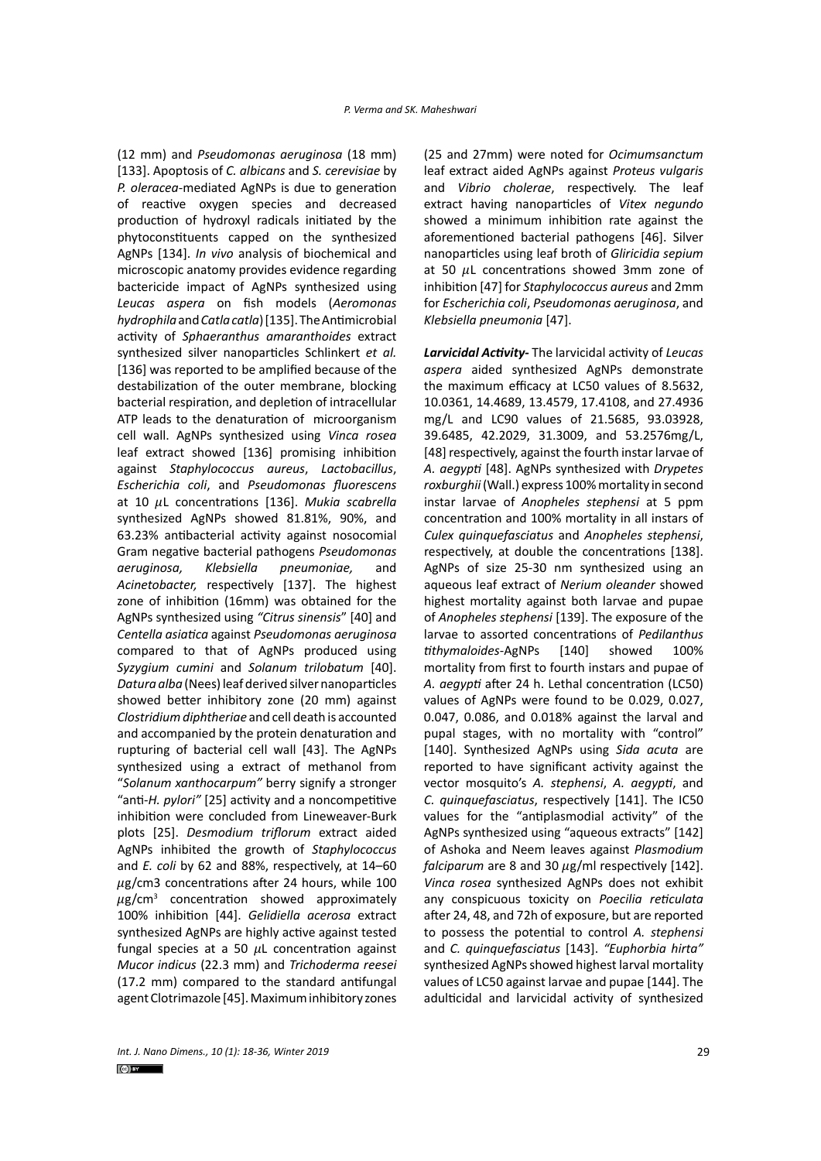(12 mm) and *Pseudomonas aeruginosa* (18 mm) [133]. Apoptosis of *C. albicans* and *S. cerevisiae* by *P. oleracea*-mediated AgNPs is due to generation of reactive oxygen species and decreased production of hydroxyl radicals initiated by the phytoconstituents capped on the synthesized AgNPs [134]. *In vivo* analysis of biochemical and microscopic anatomy provides evidence regarding bactericide impact of AgNPs synthesized using *Leucas aspera* on fish models (*Aeromonas hydrophila* and *Catla catla*) [135]. The Antimicrobial activity of *Sphaeranthus amaranthoides* extract synthesized silver nanoparticles Schlinkert *et al.* [136] was reported to be amplified because of the destabilization of the outer membrane, blocking bacterial respiration, and depletion of intracellular ATP leads to the denaturation of microorganism cell wall. AgNPs synthesized using *Vinca rosea*  leaf extract showed [136] promising inhibition against *Staphylococcus aureus*, *Lactobacillus*, *Escherichia coli*, and *Pseudomonas fluorescens*  at 10  $\mu$ L concentrations [136]. Mukia scabrella synthesized AgNPs showed 81.81%, 90%, and 63.23% antibacterial activity against nosocomial Gram negative bacterial pathogens *Pseudomonas aeruginosa, Klebsiella pneumoniae,* and *Acinetobacter,* respectively [137]. The highest zone of inhibition (16mm) was obtained for the AgNPs synthesized using *"Citrus sinensis*" [40] and *Centella asiatica* against *Pseudomonas aeruginosa*  compared to that of AgNPs produced using *Syzygium cumini* and *Solanum trilobatum* [40]. *Datura alba* (Nees) leaf derived silver nanoparticles showed better inhibitory zone (20 mm) against *Clostridiumdiphtheriae* and cell death is accounted and accompanied by the protein denaturation and rupturing of bacterial cell wall [43]. The AgNPs synthesized using a extract of methanol from "*Solanum xanthocarpum"* berry signify a stronger "anti-*H. pylori"* [25] activity and a noncompetitive inhibition were concluded from Lineweaver-Burk plots [25]. *Desmodium triflorum* extract aided AgNPs inhibited the growth of *Staphylococcus* and *E. coli* by 62 and 88%, respectively, at 14–60  $\mu$ g/cm3 concentrations after 24 hours, while 100  $\mu$ g/cm<sup>3</sup> concentration showed approximately 100% inhibition [44]. *Gelidiella acerosa* extract synthesized AgNPs are highly active against tested fungal species at a 50  $\mu$ L concentration against *Mucor indicus* (22.3 mm) and *Trichoderma reesei*  (17.2 mm) compared to the standard antifungal agent Clotrimazole [45]. Maximum inhibitory zones

(25 and 27mm) were noted for *Ocimumsanctum*  leaf extract aided AgNPs against *Proteus vulgaris*  and *Vibrio cholerae*, respectively. The leaf extract having nanoparticles of *Vitex negundo*  showed a minimum inhibition rate against the aforementioned bacterial pathogens [46]. Silver nanoparticles using leaf broth of *Gliricidia sepium*  at 50  $\mu$ L concentrations showed 3mm zone of inhibition [47] for *Staphylococcus aureus* and 2mm for *Escherichia coli*, *Pseudomonas aeruginosa*, and *Klebsiella pneumonia* [47].

*Larvicidal Activity***-** The larvicidal activity of *Leucas aspera* aided synthesized AgNPs demonstrate the maximum efficacy at LC50 values of 8.5632, 10.0361, 14.4689, 13.4579, 17.4108, and 27.4936 mg/L and LC90 values of 21.5685, 93.03928, 39.6485, 42.2029, 31.3009, and 53.2576mg/L, [48] respectively, against the fourth instar larvae of *A. aegypti* [48]. AgNPs synthesized with *Drypetes*  roxburghii (Wall.) express 100% mortality in second instar larvae of *Anopheles stephensi* at 5 ppm concentration and 100% mortality in all instars of *Culex quinquefasciatus* and *Anopheles stephensi*, respectively, at double the concentrations [138]. AgNPs of size 25-30 nm synthesized using an aqueous leaf extract of *Nerium oleander* showed highest mortality against both larvae and pupae of *Anopheles stephensi* [139]. The exposure of the larvae to assorted concentrations of *Pedilanthus tithymaloides*-AgNPs [140] showed 100% mortality from first to fourth instars and pupae of *A. aegypti* after 24 h. Lethal concentration (LC50) values of AgNPs were found to be 0.029, 0.027, 0.047, 0.086, and 0.018% against the larval and pupal stages, with no mortality with "control" [140]. Synthesized AgNPs using *Sida acuta* are reported to have significant activity against the vector mosquito's *A. stephensi*, *A. aegypti*, and *C. quinquefasciatus*, respectively [141]. The IC50 values for the "antiplasmodial activity" of the AgNPs synthesized using "aqueous extracts" [142] of Ashoka and Neem leaves against *Plasmodium*   $falciparum$  are 8 and 30  $\mu$ g/ml respectively [142]. *Vinca rosea* synthesized AgNPs does not exhibit any conspicuous toxicity on *Poecilia reticulata*  after 24, 48, and 72h of exposure, but are reported to possess the potential to control *A. stephensi*  and *C. quinquefasciatus* [143]. *"Euphorbia hirta"*  synthesized AgNPs showed highest larval mortality values of LC50 against larvae and pupae [144]. The adulticidal and larvicidal activity of synthesized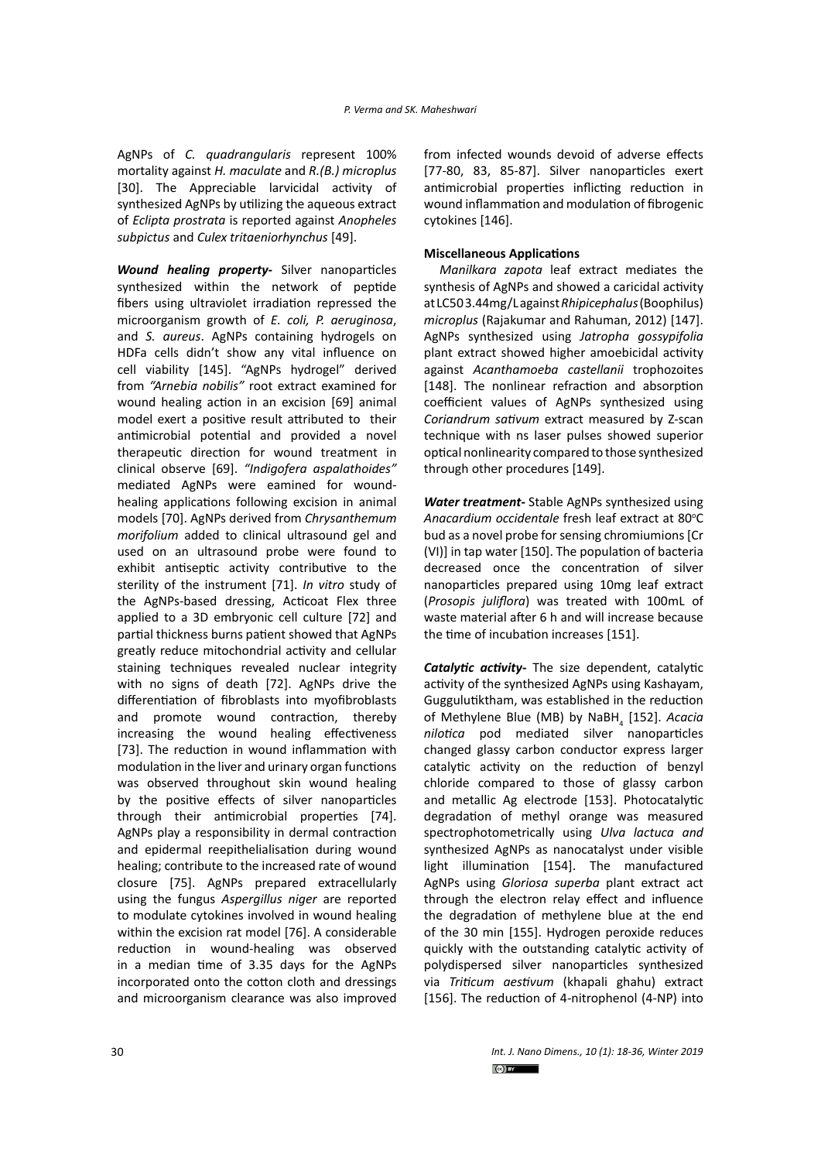AgNPs of *C. quadrangularis* represent 100% mortality against *H. maculate* and *R.(B.) microplus*  [30]. The Appreciable larvicidal activity of synthesized AgNPs by utilizing the aqueous extract of *Eclipta prostrata* is reported against *Anopheles subpictus* and *Culex tritaeniorhynchus* [49].

*Wound healing property-* Silver nanoparticles synthesized within the network of peptide fibers using ultraviolet irradiation repressed the microorganism growth of *E. coli, P. aeruginosa*, and *S. aureus*. AgNPs containing hydrogels on HDFa cells didn't show any vital influence on cell viability [145]. "AgNPs hydrogel" derived from *"Arnebia nobilis"* root extract examined for wound healing action in an excision [69] animal model exert a positive result attributed to their antimicrobial potential and provided a novel therapeutic direction for wound treatment in clinical observe [69]. *"Indigofera aspalathoides"*  mediated AgNPs were eamined for woundhealing applications following excision in animal models [70]. AgNPs derived from *Chrysanthemum morifolium* added to clinical ultrasound gel and used on an ultrasound probe were found to exhibit antiseptic activity contributive to the sterility of the instrument [71]. *In vitro* study of the AgNPs-based dressing, Acticoat Flex three applied to a 3D embryonic cell culture [72] and partial thickness burns patient showed that AgNPs greatly reduce mitochondrial activity and cellular staining techniques revealed nuclear integrity with no signs of death [72]. AgNPs drive the differentiation of fibroblasts into myofibroblasts and promote wound contraction, thereby increasing the wound healing effectiveness [73]. The reduction in wound inflammation with modulation in the liver and urinary organ functions was observed throughout skin wound healing by the positive effects of silver nanoparticles through their antimicrobial properties [74]. AgNPs play a responsibility in dermal contraction and epidermal reepithelialisation during wound healing; contribute to the increased rate of wound closure [75]. AgNPs prepared extracellularly using the fungus *Aspergillus niger* are reported to modulate cytokines involved in wound healing within the excision rat model [76]. A considerable reduction in wound-healing was observed in a median time of 3.35 days for the AgNPs incorporated onto the cotton cloth and dressings and microorganism clearance was also improved

from infected wounds devoid of adverse effects [77-80, 83, 85-87]. Silver nanoparticles exert antimicrobial properties inflicting reduction in wound inflammation and modulation of fibrogenic cytokines [146].

## **Miscellaneous Applications**

*Manilkara zapota* leaf extract mediates the synthesis of AgNPs and showed a caricidal activity at LC50 3.44mg/L against *Rhipicephalus* (Boophilus) *microplus* (Rajakumar and Rahuman, 2012) [147]. AgNPs synthesized using *Jatropha gossypifolia* plant extract showed higher amoebicidal activity against *Acanthamoeba castellanii* trophozoites [148]. The nonlinear refraction and absorption coefficient values of AgNPs synthesized using *Coriandrum sativum* extract measured by Z-scan technique with ns laser pulses showed superior optical nonlinearity compared to those synthesized through other procedures [149].

*Water treatment***-** Stable AgNPs synthesized using Anacardium occidentale fresh leaf extract at 80°C bud as a novel probe for sensing chromiumions [Cr (VI)] in tap water [150]. The population of bacteria decreased once the concentration of silver nanoparticles prepared using 10mg leaf extract (*Prosopis juliflora*) was treated with 100mL of waste material after 6 h and will increase because the time of incubation increases [151].

*Catalytic activity***-** The size dependent, catalytic activity of the synthesized AgNPs using Kashayam, Guggulutiktham, was established in the reduction of Methylene Blue (MB) by NaBH<sub>4</sub> [152]. Acacia *nilotica* pod mediated silver nanoparticles changed glassy carbon conductor express larger catalytic activity on the reduction of benzyl chloride compared to those of glassy carbon and metallic Ag electrode [153]. Photocatalytic degradation of methyl orange was measured spectrophotometrically using *Ulva lactuca and*  synthesized AgNPs as nanocatalyst under visible light illumination [154]. The manufactured AgNPs using *Gloriosa superba* plant extract act through the electron relay effect and influence the degradation of methylene blue at the end of the 30 min [155]. Hydrogen peroxide reduces quickly with the outstanding catalytic activity of polydispersed silver nanoparticles synthesized via *Triticum aestivum* (khapali ghahu) extract [156]. The reduction of 4-nitrophenol (4-NP) into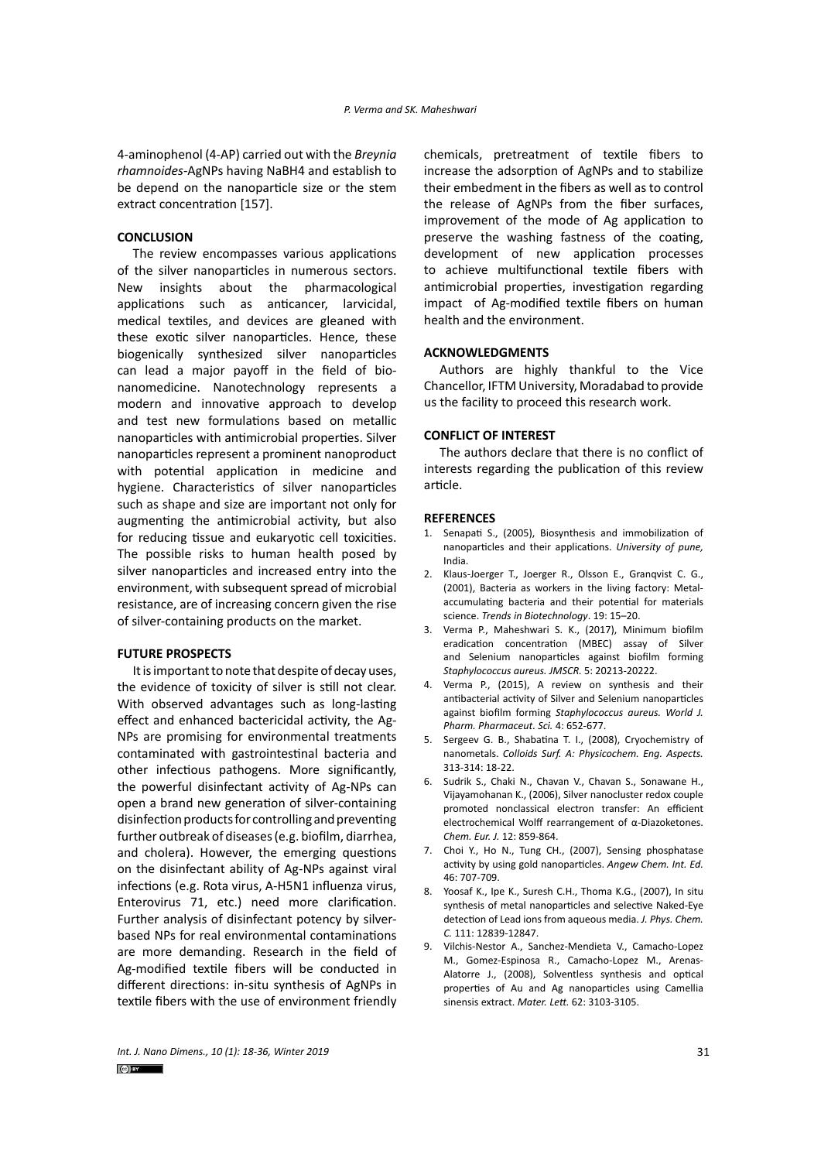4-aminophenol (4-AP) carried out with the *Breynia rhamnoides*-AgNPs having NaBH4 and establish to be depend on the nanoparticle size or the stem extract concentration [157].

## **CONCLUSION**

The review encompasses various applications of the silver nanoparticles in numerous sectors. New insights about the pharmacological applications such as anticancer, larvicidal, medical textiles, and devices are gleaned with these exotic silver nanoparticles. Hence, these biogenically synthesized silver nanoparticles can lead a major payoff in the field of bionanomedicine. Nanotechnology represents a modern and innovative approach to develop and test new formulations based on metallic nanoparticles with antimicrobial properties. Silver nanoparticles represent a prominent nanoproduct with potential application in medicine and hygiene. Characteristics of silver nanoparticles such as shape and size are important not only for augmenting the antimicrobial activity, but also for reducing tissue and eukaryotic cell toxicities. The possible risks to human health posed by silver nanoparticles and increased entry into the environment, with subsequent spread of microbial resistance, are of increasing concern given the rise of silver-containing products on the market.

## **FUTURE PROSPECTS**

It is important to note that despite of decay uses, the evidence of toxicity of silver is still not clear. With observed advantages such as long-lasting effect and enhanced bactericidal activity, the Ag-NPs are promising for environmental treatments contaminated with gastrointestinal bacteria and other infectious pathogens. More significantly, the powerful disinfectant activity of Ag-NPs can open a brand new generation of silver-containing disinfection products for controlling and preventing further outbreak of diseases (e.g. biofilm, diarrhea, and cholera). However, the emerging questions on the disinfectant ability of Ag-NPs against viral infections (e.g. Rota virus, A-H5N1 influenza virus, Enterovirus 71, etc.) need more clarification. Further analysis of disinfectant potency by silverbased NPs for real environmental contaminations are more demanding. Research in the field of Ag-modified textile fibers will be conducted in different directions: in-situ synthesis of AgNPs in textile fibers with the use of environment friendly chemicals, pretreatment of textile fibers to increase the adsorption of AgNPs and to stabilize their embedment in the fibers as well as to control the release of AgNPs from the fiber surfaces, improvement of the mode of Ag application to preserve the washing fastness of the coating, development of new application processes to achieve multifunctional textile fibers with antimicrobial properties, investigation regarding impact of Ag-modified textile fibers on human health and the environment.

## **ACKNOWLEDGMENTS**

Authors are highly thankful to the Vice Chancellor, IFTM University, Moradabad to provide us the facility to proceed this research work.

#### **CONFLICT OF INTEREST**

The authors declare that there is no conflict of interests regarding the publication of this review article.

## **REFERENCES**

- 1. Senapati S., (2005), Biosynthesis and immobilization of nanoparticles and their applications. *University of pune,* India.
- 2. Klaus-Joerger T., Joerger R., Olsson E., Granqvist C. G., (2001), Bacteria as workers in the living factory: Metalaccumulating bacteria and their potential for materials science. *Trends in Biotechnology*. 19: 15–20.
- 3. Verma P., Maheshwari S. K., (2017), Minimum biofilm eradication concentration (MBEC) assay of Silver and Selenium nanoparticles against biofilm forming *Staphylococcus aureus. JMSCR.* 5: 20213-20222.
- 4. Verma P., (2015), A review on synthesis and their antibacterial activity of Silver and Selenium nanoparticles against biofilm forming *Staphylococcus aureus. World J. Pharm. Pharmaceut. Sci.* 4: 652-677.
- 5. Sergeev G. B., Shabatina T. I., (2008), Cryochemistry of nanometals. *Colloids Surf. A: Physicochem. Eng. Aspects.* 313-314: 18-22.
- 6. Sudrik S., Chaki N., Chavan V., Chavan S., Sonawane H., Vijayamohanan K., (2006), Silver nanocluster redox couple promoted nonclassical electron transfer: An efficient electrochemical Wolff rearrangement of α-Diazoketones. *Chem. Eur. J.* 12: 859-864.
- 7. Choi Y., Ho N., Tung CH., (2007), Sensing phosphatase activity by using gold nanoparticles. *Angew Chem. Int. Ed.*  46: 707-709.
- 8. Yoosaf K., Ipe K., Suresh C.H., Thoma K.G., (2007), In situ synthesis of metal nanoparticles and selective Naked-Eye detection of Lead ions from aqueous media. *J. Phys. Chem. C.* 111: 12839-12847.
- 9. Vilchis-Nestor A., Sanchez-Mendieta V., Camacho-Lopez M., Gomez-Espinosa R., Camacho-Lopez M., Arenas-Alatorre J., (2008), Solventless synthesis and optical properties of Au and Ag nanoparticles using Camellia sinensis extract. *Mater. Lett.* 62: 3103-3105.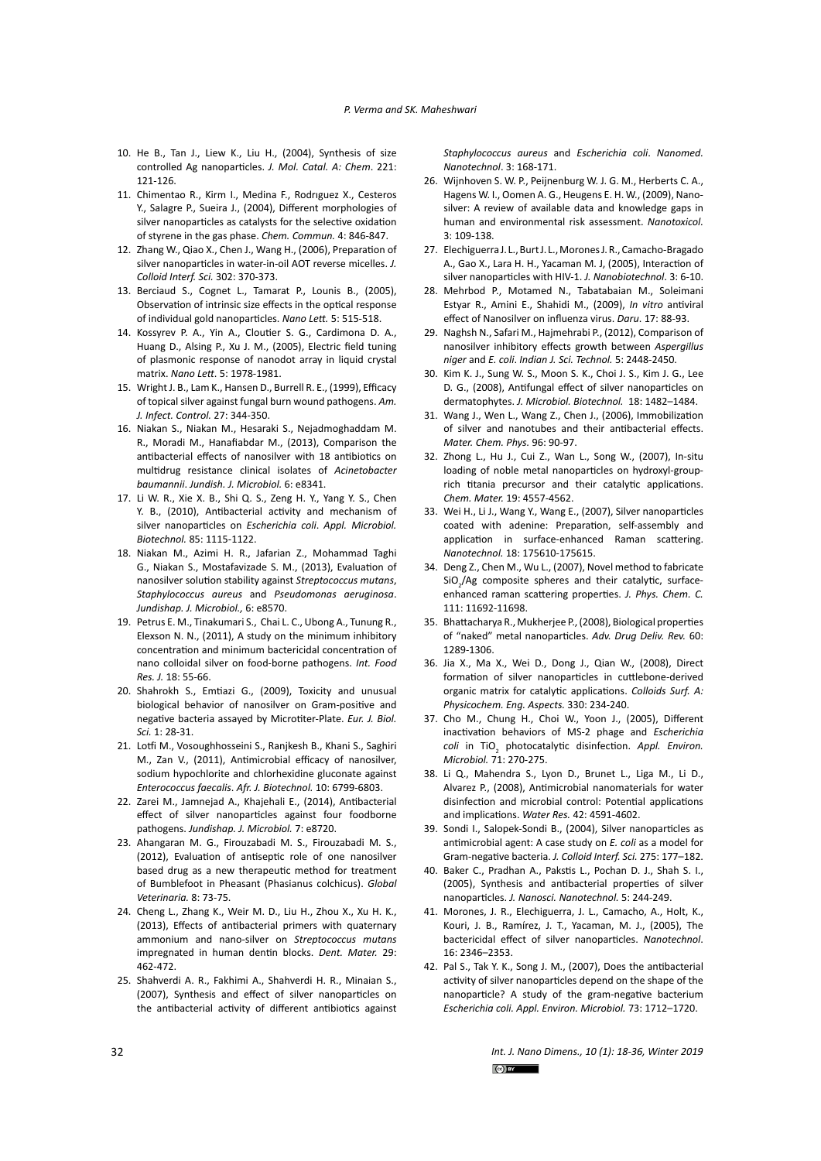- 10. He B., Tan J., Liew K., Liu H., (2004), Synthesis of size controlled Ag nanoparticles. *J. Mol. Catal. A: Chem*. 221: 121-126.
- 11. Chimentao R., Kirm I., Medina F., Rodrıguez X., Cesteros Y., Salagre P., Sueira J., (2004), Different morphologies of silver nanoparticles as catalysts for the selective oxidation of styrene in the gas phase. *Chem. Commun.* 4: 846-847.
- 12. Zhang W., Qiao X., Chen J., Wang H., (2006), Preparation of silver nanoparticles in water-in-oil AOT reverse micelles. *J. Colloid Interf. Sci.* 302: 370-373.
- 13. Berciaud S., Cognet L., Tamarat P., Lounis B., (2005), [Observation of intrinsic size effects in the optical response](https://pubs.acs.org/doi/10.1021/nl050062t)  [of individual gold nanoparticles.](https://pubs.acs.org/doi/10.1021/nl050062t) *Nano Lett.* 5: 515-518.
- 14. Kossyrev P. A., Yin A., Cloutier S. G., Cardimona D. A., Huang D., Alsing P., Xu J. M., (2005), Electric field tuning of plasmonic response of nanodot array in liquid crystal matrix. *Nano Lett*. 5: 1978-1981.
- 15. Wright J. B., Lam K., Hansen D., Burrell R. E., (1999), Efficacy of topical silver against fungal burn wound pathogens. *Am. J. Infect. Control.* 27: 344-350.
- 16. Niakan S., Niakan M., Hesaraki S., Nejadmoghaddam M. R., Moradi M., Hanafiabdar M., (2013), Comparison the antibacterial effects of nanosilver with 18 antibiotics on multidrug resistance clinical isolates of *Acinetobacter baumannii*. *Jundish. J. Microbiol.* 6: e8341.
- 17. Li W. R., Xie X. B., Shi Q. S., Zeng H. Y., Yang Y. S., Chen Y. B., (2010), Antibacterial activity and mechanism of silver nanoparticles on *Escherichia coli*. *Appl. Microbiol. Biotechnol.* 85: 1115-1122.
- 18. Niakan M., Azimi H. R., Jafarian Z., Mohammad Taghi G., Niakan S., Mostafavizade S. M., (2013), Evaluation of nanosilver solution stability against *Streptococcus mutans*, *Staphylococcus aureus* and *Pseudomonas aeruginosa*. *Jundishap. J. Microbiol.,* 6: e8570.
- 19. Petrus E. M., Tinakumari S., Chai L. C., Ubong A., Tunung R., Elexson N. N., (2011), A study on the minimum inhibitory concentration and minimum bactericidal concentration of nano colloidal silver on food-borne pathogens. *Int. Food Res. J.* 18: 55-66.
- 20. Shahrokh S., Emtiazi G., (2009), Toxicity and unusual biological behavior of nanosilver on Gram-positive and negative bacteria assayed by Microtiter-Plate. *Eur. J. Biol. Sci.* 1: 28-31.
- 21. Lotfi M., Vosoughhosseini S., Ranjkesh B., Khani S., Saghiri M., Zan V., (2011), Antimicrobial efficacy of nanosilver, sodium hypochlorite and chlorhexidine gluconate against *Enterococcus faecalis*. *Afr. J. Biotechnol.* 10: 6799-6803.
- 22. Zarei M., Jamnejad A., Khajehali E., (2014), Antibacterial effect of silver nanoparticles against four foodborne pathogens. *Jundishap. J. Microbiol.* 7: e8720.
- 23. Ahangaran M. G., Firouzabadi M. S., Firouzabadi M. S., (2012), Evaluation of antiseptic role of one nanosilver based drug as a new therapeutic method for treatment of Bumblefoot in Pheasant (Phasianus colchicus). *Global Veterinaria.* 8: 73-75.
- 24. Cheng L., Zhang K., Weir M. D., Liu H., Zhou X., Xu H. K., (2013), Effects of antibacterial primers with quaternary ammonium and nano-silver on *Streptococcus mutans* impregnated in human dentin blocks. *Dent. Mater.* 29: 462-472.
- 25. Shahverdi A. R., Fakhimi A., Shahverdi H. R., Minaian S., (2007), Synthesis and effect of silver nanoparticles on the antibacterial activity of different antibiotics against

*Staphylococcus aureus* and *Escherichia coli*. *Nanomed. Nanotechnol*. 3: 168-171.

- 26. Wijnhoven S. W. P., Peijnenburg W. J. G. M., Herberts C. A., Hagens W. I., Oomen A. G., Heugens E. H. W., (2009), Nanosilver: A review of available data and knowledge gaps in human and environmental risk assessment. *Nanotoxicol.* 3: 109-138.
- 27. Elechiguerra J. L., Burt J. L., Morones J. R., Camacho-Bragado A., Gao X., Lara H. H., Yacaman M. J, (2005), Interaction of silver nanoparticles with HIV-1. *J. Nanobiotechnol*. 3: 6-10.
- 28. Mehrbod P., Motamed N., Tabatabaian M., Soleimani Estyar R., Amini E., Shahidi M., (2009), *In vitro* antiviral effect of Nanosilver on influenza virus. *Daru*. 17: 88-93.
- 29. Naghsh N., Safari M., Hajmehrabi P., (2012), Comparison of nanosilver inhibitory effects growth between *Aspergillus niger* and *E. coli*. *Indian J. Sci. Technol.* 5: 2448-2450.
- 30. Kim K. J., Sung W. S., Moon S. K., Choi J. S., Kim J. G., Lee D. G., (2008), Antifungal effect of silver nanoparticles on dermatophytes. *J. Microbiol. Biotechnol.* 18: 1482–1484.
- 31. Wang J., Wen L., Wang Z., Chen J., (2006), Immobilization of silver and nanotubes and their antibacterial effects. *Mater. Chem. Phys.* 96: 90-97.
- 32. Zhong L., Hu J., Cui Z., Wan L., Song W., (2007), In-situ loading of noble metal nanoparticles on hydroxyl-grouprich titania precursor and their catalytic applications. *Chem. Mater.* 19: 4557-4562.
- 33. Wei H., Li J., Wang Y., Wang E., (2007), Silver nanoparticles coated with adenine: Preparation, self-assembly and application in surface-enhanced Raman scattering. *Nanotechnol.* 18: 175610-175615.
- 34. Deng Z., Chen M., Wu L., (2007), Novel method to fabricate  $SiO_2/Ag$  composite spheres and their catalytic, surfaceenhanced raman scattering properties. *J. Phys. Chem. C.* 111: 11692-11698.
- 35. Bhattacharya R., Mukherjee P., (2008), Biological properties of "naked" metal nanoparticles. *Adv. Drug Deliv. Rev.* 60: 1289-1306.
- 36. Jia X., Ma X., Wei D., Dong J., Qian W., (2008), [Direct](https://www.sciencedirect.com/science/article/pii/S0927775708005463) [formation of silver nanoparticles in cuttlebone-derived](https://www.sciencedirect.com/science/article/pii/S0927775708005463) [organic matrix for catalytic applications](https://www.sciencedirect.com/science/article/pii/S0927775708005463). *Colloids Surf. A: Physicochem. Eng. Aspects.* 330: 234-240.
- 37. Cho M., Chung H., Choi W., Yoon J., (2005), Different inactivation behaviors of MS-2 phage and *Escherichia*  coli in TiO<sub>2</sub> photocatalytic disinfection. Appl. Environ. *Microbiol.* 71: 270-275.
- 38. Li Q., Mahendra S., Lyon D., Brunet L., Liga M., Li D., Alvarez P., (2008), Antimicrobial nanomaterials for water disinfection and microbial control: Potential applications and implications. *Water Res.* 42: 4591-4602.
- 39. Sondi I., Salopek-Sondi B., (2004), Silver nanoparticles as antimicrobial agent: A case study on *E. coli* as a model for Gram-negative bacteria. *J. Colloid Interf. Sci.* 275: 177–182.
- 40. Baker C., Pradhan A., Pakstis L., Pochan D. J., Shah S. I., (2005), Synthesis and antibacterial properties of silver nanoparticles. *J. Nanosci. Nanotechnol.* 5: 244-249.
- 41. Morones, J. R., Elechiguerra, J. L., Camacho, A., Holt, K., Kouri, J. B., Ramírez, J. T., Yacaman, M. J., (2005), The bactericidal effect of silver nanoparticles. *Nanotechnol*. 16: 2346–2353.
- 42. Pal S., Tak Y. K., Song J. M., (2007), Does the antibacterial activity of silver nanoparticles depend on the shape of the nanoparticle? A study of the gram-negative bacterium *Escherichia coli. Appl. Environ. Microbiol.* 73: 1712–1720.

*Int. J. Nano Dimens., 10 (1): 18-36, Winter 2019*  $\left(\begin{matrix} C_1 \\ C_2 \end{matrix}\right)$  BY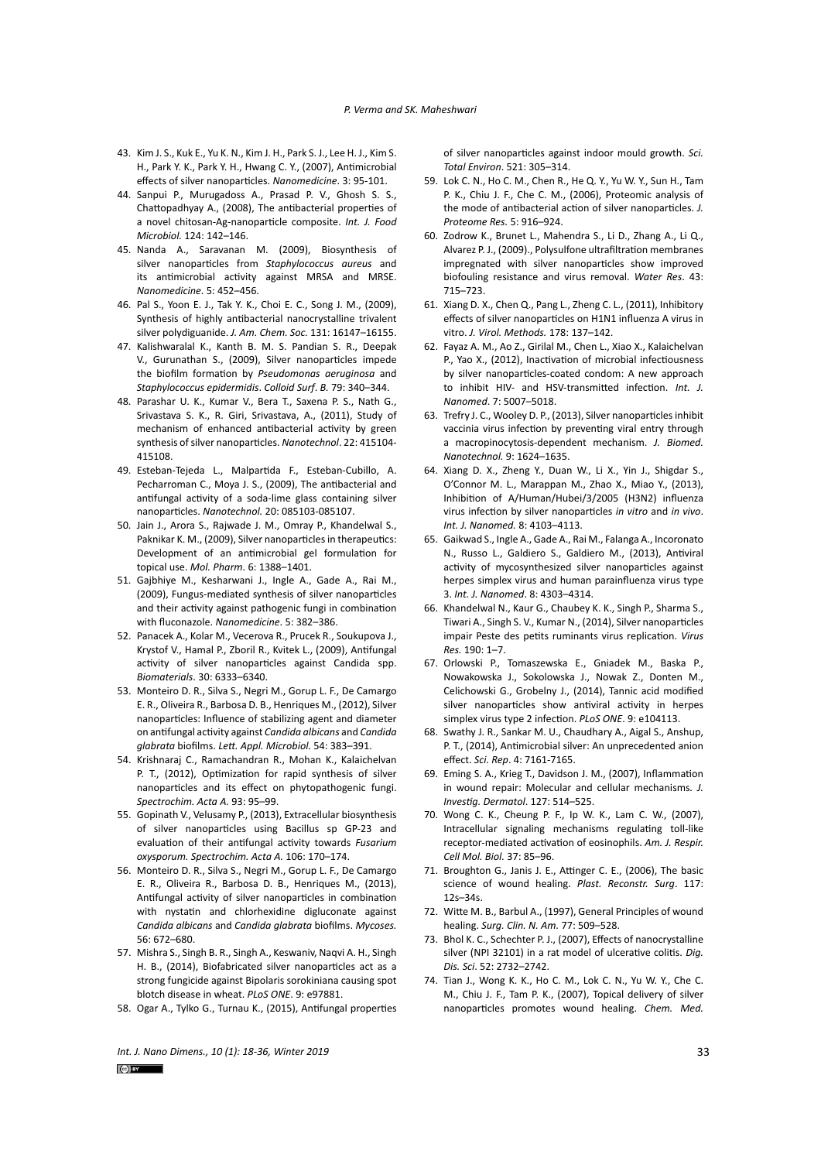- 43. Kim J. S., Kuk E., Yu K. N., Kim J. H., Park S. J., Lee H. J., Kim S. H., Park Y. K., Park Y. H., Hwang C. Y., (2007), Antimicrobial effects of silver nanoparticles. *Nanomedicine*. 3: 95-101.
- 44. Sanpui P., Murugadoss A., Prasad P. V., Ghosh S. S., Chattopadhyay A., (2008), The antibacterial properties of a novel chitosan-Ag-nanoparticle composite. *Int. J. Food Microbiol.* 124: 142–146.
- 45. Nanda A., Saravanan M. (2009), Biosynthesis of silver nanoparticles from *Staphylococcus aureus* and its antimicrobial activity against MRSA and MRSE. *Nanomedicine*. 5: 452–456.
- 46. Pal S., Yoon E. J., Tak Y. K., Choi E. C., Song J. M., (2009), Synthesis of highly antibacterial nanocrystalline trivalent silver polydiguanide. *J. Am. Chem. Soc.* 131: 16147–16155.
- 47. Kalishwaralal K., Kanth B. M. S. Pandian S. R., Deepak V., Gurunathan S., (2009), Silver nanoparticles impede the biofilm formation by *Pseudomonas aeruginosa* and *Staphylococcus epidermidis*. *Colloid Surf*. *B.* 79: 340–344.
- 48. Parashar U. K., Kumar V., Bera T., Saxena P. S., Nath G., Srivastava S. K., R. Giri, Srivastava, A., (2011), Study of mechanism of enhanced antibacterial activity by green synthesis of silver nanoparticles. *Nanotechnol*. 22: 415104- 415108.
- 49. Esteban-Tejeda L., Malpartida F., Esteban-Cubillo, A. Pecharroman C., Moya J. S., (2009), The antibacterial and antifungal activity of a soda-lime glass containing silver nanoparticles. *Nanotechnol.* 20: 085103-085107.
- 50. Jain J., Arora S., Rajwade J. M., Omray P., Khandelwal S., Paknikar K. M., (2009), Silver nanoparticles in therapeutics: Development of an antimicrobial gel formulation for topical use. *Mol. Pharm*. 6: 1388–1401.
- 51. Gajbhiye M., Kesharwani J., Ingle A., Gade A., Rai M., (2009), Fungus-mediated synthesis of silver nanoparticles and their activity against pathogenic fungi in combination with fluconazole. *Nanomedicine*. 5: 382–386.
- 52. Panacek A., Kolar M., Vecerova R., Prucek R., Soukupova J., Krystof V., Hamal P., Zboril R., Kvitek L., (2009), Antifungal activity of silver nanoparticles against Candida spp. *Biomaterials*. 30: 6333–6340.
- 53. Monteiro D. R., Silva S., Negri M., Gorup L. F., De Camargo E. R., Oliveira R., Barbosa D. B., Henriques M., (2012), Silver nanoparticles: Influence of stabilizing agent and diameter on antifungal activity against *Candida albicans* and *Candida glabrata* biofilms. *Lett. Appl. Microbiol.* 54: 383–391.
- 54. Krishnaraj C., Ramachandran R., Mohan K., Kalaichelvan P. T., (2012), Optimization for rapid synthesis of silver nanoparticles and its effect on phytopathogenic fungi. *Spectrochim. Acta A.* 93: 95–99.
- 55. Gopinath V., Velusamy P., (2013), Extracellular biosynthesis of silver nanoparticles using Bacillus sp GP-23 and evaluation of their antifungal activity towards *Fusarium oxysporum. Spectrochim. Acta A.* 106: 170–174.
- 56. Monteiro D. R., Silva S., Negri M., Gorup L. F., De Camargo E. R., Oliveira R., Barbosa D. B., Henriques M., (2013), Antifungal activity of silver nanoparticles in combination with nystatin and chlorhexidine digluconate against *Candida albicans* and *Candida glabrata* biofilms. *Mycoses.* 56: 672–680.
- 57. Mishra S., Singh B. R., Singh A., Keswaniv, Naqvi A. H., Singh H. B., (2014), Biofabricated silver nanoparticles act as a strong fungicide against Bipolaris sorokiniana causing spot blotch disease in wheat. *PLoS ONE*. 9: e97881.
- 58. Ogar A., Tylko G., Turnau K., (2015), Antifungal properties

*Int. J. Nano Dimens., 10 (1): 18-36, Winter 2019* 33  $\left[\begin{matrix} G \\ G \end{matrix}\right]$  BY

of silver nanoparticles against indoor mould growth. *Sci. Total Environ*. 521: 305–314.

- 59. Lok C. N., Ho C. M., Chen R., He Q. Y., Yu W. Y., Sun H., Tam P. K., Chiu J. F., Che C. M., (2006), Proteomic analysis of the mode of antibacterial action of silver nanoparticles. *J. Proteome Res.* 5: 916–924.
- 60. Zodrow K., Brunet L., Mahendra S., Li D., Zhang A., Li Q., Alvarez P. J., (2009)., Polysulfone ultrafiltration membranes impregnated with silver nanoparticles show improved biofouling resistance and virus removal. *Water Res*. 43: 715–723.
- 61. Xiang D. X., Chen Q., Pang L., Zheng C. L., (2011), Inhibitory effects of silver nanoparticles on H1N1 influenza A virus in vitro. *J. Virol. Methods.* 178: 137–142.
- 62. Fayaz A. M., Ao Z., Girilal M., Chen L., Xiao X., Kalaichelvan P., Yao X., (2012), Inactivation of microbial infectiousness by silver nanoparticles-coated condom: A new approach to inhibit HIV- and HSV-transmitted infection. *Int. J. Nanomed*. 7: 5007–5018.
- 63. Trefry J. C., Wooley D. P., (2013), Silver nanoparticles inhibit vaccinia virus infection by preventing viral entry through a macropinocytosis-dependent mechanism. *J. Biomed. Nanotechnol.* 9: 1624–1635.
- 64. Xiang D. X., Zheng Y., Duan W., Li X., Yin J., Shigdar S., O'Connor M. L., Marappan M., Zhao X., Miao Y., (2013), Inhibition of A/Human/Hubei/3/2005 (H3N2) influenza virus infection by silver nanoparticles *in vitro* and *in vivo*. *Int. J. Nanomed.* 8: 4103–4113.
- 65. Gaikwad S., Ingle A., Gade A., Rai M., Falanga A., Incoronato N., Russo L., Galdiero S., Galdiero M., (2013), Antiviral activity of mycosynthesized silver nanoparticles against herpes simplex virus and human parainfluenza virus type 3. *Int. J. Nanomed*. 8: 4303–4314.
- 66. Khandelwal N., Kaur G., Chaubey K. K., Singh P., Sharma S., Tiwari A., Singh S. V., Kumar N., (2014), Silver nanoparticles impair Peste des petits ruminants virus replication. *Virus Res.* 190: 1–7.
- 67. Orlowski P., Tomaszewska E., Gniadek M., Baska P., Nowakowska J., Sokolowska J., Nowak Z., Donten M., Celichowski G., Grobelny J., (2014), Tannic acid modified silver nanoparticles show antiviral activity in herpes simplex virus type 2 infection. *PLoS ONE*. 9: e104113.
- 68. Swathy J. R., Sankar M. U., Chaudhary A., Aigal S., Anshup, P. T., (2014), Antimicrobial silver: An unprecedented anion effect. *Sci. Rep*. 4: 7161-7165.
- 69. Eming S. A., Krieg T., Davidson J. M., (2007), Inflammation in wound repair: Molecular and cellular mechanisms*. J. Investig. Dermatol*. 127: 514–525.
- 70. Wong C. K., Cheung P. F., Ip W. K., Lam C. W., (2007), Intracellular signaling mechanisms regulating toll-like receptor-mediated activation of eosinophils. *Am. J. Respir. Cell Mol. Biol.* 37: 85–96.
- 71. Broughton G., Janis J. E., Attinger C. E., (2006), The basic science of wound healing. *Plast. Reconstr. Surg*. 117: 12s–34s.
- 72. Witte M. B., Barbul A., (1997), General Principles of wound healing. *Surg. Clin. N. Am.* 77: 509–528.
- 73. Bhol K. C., Schechter P. J., (2007), Effects of nanocrystalline silver (NPI 32101) in a rat model of ulcerative colitis. *Dig. Dis. Sci*. 52: 2732–2742.
- 74. Tian J., Wong K. K., Ho C. M., Lok C. N., Yu W. Y., Che C. M., Chiu J. F., Tam P. K., (2007), Topical delivery of silver nanoparticles promotes wound healing. *Chem. Med.*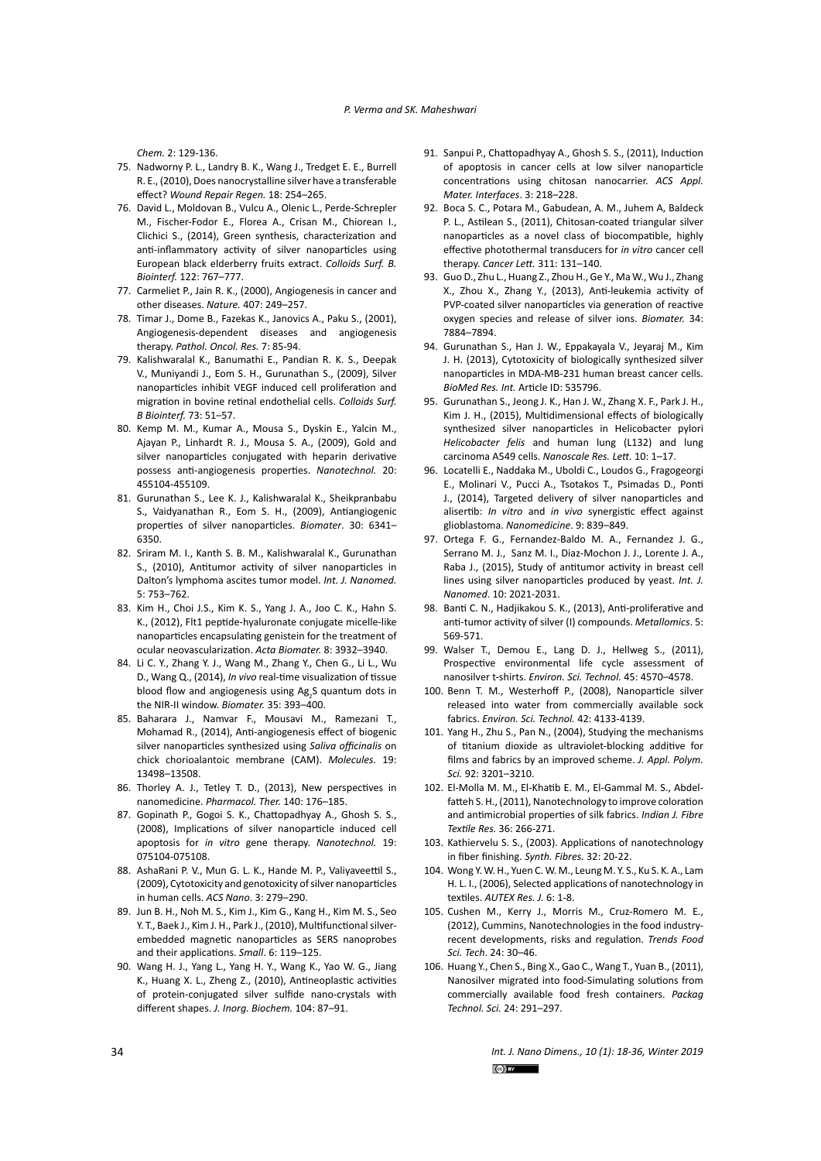*Chem.* 2: 129-136.

- 75. Nadworny P. L., Landry B. K., Wang J., Tredget E. E., Burrell R. E., (2010), Does nanocrystalline silver have a transferable effect? *Wound Repair Regen.* 18: 254–265.
- 76. David L., Moldovan B., Vulcu A., Olenic L., Perde-Schrepler M., Fischer-Fodor E., Florea A., Crisan M., Chiorean I., Clichici S., (2014), Green synthesis, characterization and anti-inflammatory activity of silver nanoparticles using European black elderberry fruits extract. *Colloids Surf. B. Biointerf.* 122: 767–777.
- 77. Carmeliet P., Jain R. K., (2000), Angiogenesis in cancer and other diseases. *Nature.* 407: 249–257.
- 78. Timar J., Dome B., Fazekas K., Janovics A., Paku S., (2001), Angiogenesis-dependent diseases and angiogenesis therapy. *Pathol. Oncol. Res.* 7: 85-94.
- 79. Kalishwaralal K., Banumathi E., Pandian R. K. S., Deepak V., Muniyandi J., Eom S. H., Gurunathan S., (2009), Silver nanoparticles inhibit VEGF induced cell proliferation and migration in bovine retinal endothelial cells. *Colloids Surf. B Biointerf.* 73: 51–57.
- 80. Kemp M. M., Kumar A., Mousa S., Dyskin E., Yalcin M., Ajayan P., Linhardt R. J., Mousa S. A., (2009), Gold and silver nanoparticles conjugated with heparin derivative possess anti-angiogenesis properties. *Nanotechnol.* 20: 455104-455109.
- 81. Gurunathan S., Lee K. J., Kalishwaralal K., Sheikpranbabu S., Vaidyanathan R., Eom S. H., (2009), Antiangiogenic properties of silver nanoparticles. *Biomater*. 30: 6341– 6350.
- 82. Sriram M. I., Kanth S. B. M., Kalishwaralal K., Gurunathan S., (2010), Antitumor activity of silver nanoparticles in Dalton's lymphoma ascites tumor model. *Int. J. Nanomed.* 5: 753–762.
- 83. Kim H., Choi J.S., Kim K. S., Yang J. A., Joo C. K., Hahn S. K., (2012), Flt1 peptide-hyaluronate conjugate micelle-like nanoparticles encapsulating genistein for the treatment of ocular neovascularization. *Acta Biomater.* 8: 3932–3940.
- 84. Li C. Y., Zhang Y. J., Wang M., Zhang Y., Chen G., Li L., Wu D., Wang Q., (2014), *In vivo* real-time visualization of tissue blood flow and angiogenesis using Ag<sub>2</sub>S quantum dots in the NIR-II window. *Biomater.* 35: 393–400.
- 85. Baharara J., Namvar F., Mousavi M., Ramezani T., Mohamad R., (2014), Anti-angiogenesis effect of biogenic silver nanoparticles synthesized using *Saliva officinalis* on chick chorioalantoic membrane (CAM). *Molecules.* 19: 13498–13508.
- 86. Thorley A. J., Tetley T. D., (2013), New perspectives in nanomedicine. *Pharmacol. Ther.* 140: 176–185.
- 87. Gopinath P., Gogoi S. K., Chattopadhyay A., Ghosh S. S., (2008), Implications of silver nanoparticle induced cell apoptosis for *in vitro* gene therapy. *Nanotechnol.* 19: 075104-075108.
- 88. AshaRani P. V., Mun G. L. K., Hande M. P., Valiyaveettil S., (2009), Cytotoxicity and genotoxicity of silver nanoparticles in human cells. *ACS Nano*. 3: 279–290.
- 89. Jun B. H., Noh M. S., Kim J., Kim G., Kang H., Kim M. S., Seo Y. T., Baek J., Kim J. H., Park J., (2010), Multifunctional silverembedded magnetic nanoparticles as SERS nanoprobes and their applications. *Small*. 6: 119–125.
- 90. Wang H. J., Yang L., Yang H. Y., Wang K., Yao W. G., Jiang K., Huang X. L., Zheng Z., (2010), Antineoplastic activities of protein-conjugated silver sulfide nano-crystals with different shapes. *J. Inorg. Biochem.* 104: 87–91.
- 91. Sanpui P., Chattopadhyay A., Ghosh S. S., (2011), Induction of apoptosis in cancer cells at low silver nanoparticle concentrations using chitosan nanocarrier. *ACS Appl. Mater. Interfaces*. 3: 218–228.
- 92. Boca S. C., Potara M., Gabudean, A. M., Juhem A, Baldeck P. L., Astilean S., (2011), Chitosan-coated triangular silver nanoparticles as a novel class of biocompatible, highly effective photothermal transducers for *in vitro* cancer cell therapy. *Cancer Lett.* 311: 131–140.
- 93. Guo D., Zhu L., Huang Z., Zhou H., Ge Y., Ma W., Wu J., Zhang X., Zhou X., Zhang Y., (2013), Anti-leukemia activity of PVP-coated silver nanoparticles via generation of reactive oxygen species and release of silver ions. *Biomater.* 34: 7884–7894.
- 94. Gurunathan S., Han J. W., Eppakayala V., Jeyaraj M., Kim J. H. (2013), Cytotoxicity of biologically synthesized silver nanoparticles in MDA-MB-231 human breast cancer cells. *BioMed Res. Int.* Article ID: 535796.
- 95. Gurunathan S., Jeong J. K., Han J. W., Zhang X. F., Park J. H., Kim J. H., (2015), Multidimensional effects of biologically synthesized silver nanoparticles in Helicobacter pylori *Helicobacter felis* and human lung (L132) and lung carcinoma A549 cells. *Nanoscale Res. Lett.* 10: 1–17.
- 96. Locatelli E., Naddaka M., Uboldi C., Loudos G., Fragogeorgi E., Molinari V., Pucci A., Tsotakos T., Psimadas D., Ponti J., (2014), Targeted delivery of silver nanoparticles and alisertib: *In vitro* and *in vivo* synergistic effect against glioblastoma. *Nanomedicine*. 9: 839–849.
- 97. Ortega F. G., Fernandez-Baldo M. A., Fernandez J. G., Serrano M. J., Sanz M. I., Diaz-Mochon J. J., Lorente J. A., Raba J., (2015), Study of antitumor activity in breast cell lines using silver nanoparticles produced by yeast. *Int. J. Nanomed*. 10: 2021-2031.
- 98. Banti C. N., Hadjikakou S. K., (2013), Anti-proliferative and anti-tumor activity of silver (I) compounds. *Metallomics*. 5: 569-571.
- 99. Walser T., Demou E., Lang D. J., Hellweg S., (2011), Prospective environmental life cycle assessment of nanosilver t-shirts. *Environ. Sci. Technol.* 45: 4570–4578.
- 100. Benn T. M., Westerhoff P., (2008), Nanoparticle silver released into water from commercially available sock fabrics. *Environ. Sci. Technol.* 42: 4133-4139.
- 101. Yang H., Zhu S., Pan N., (2004), Studying the mechanisms of titanium dioxide as ultraviolet-blocking additive for films and fabrics by an improved scheme. *J. Appl. Polym. Sci.* 92: 3201–3210.
- 102. El-Molla M. M., El-Khatib E. M., El-Gammal M. S., Abdelfatteh S. H., (2011), Nanotechnology to improve coloration and antimicrobial properties of silk fabrics. *Indian J. Fibre Textile Res.* 36: 266-271.
- 103. Kathiervelu S. S., (2003). Applications of nanotechnology in fiber finishing. *Synth. Fibres.* 32: 20-22.
- 104. Wong Y. W. H., Yuen C. W. M., Leung M. Y. S., Ku S. K. A., Lam H. L. I., (2006), Selected applications of nanotechnology in textiles. *AUTEX Res. J.* 6: 1-8.
- 105. Cushen M., Kerry J., Morris M., Cruz-Romero M. E., (2012), Cummins, Nanotechnologies in the food industryrecent developments, risks and regulation. *Trends Food Sci. Tech*. 24: 30–46.
- 106. Huang Y., Chen S., Bing X., Gao C., Wang T., Yuan B., (2011), Nanosilver migrated into food-Simulating solutions from commercially available food fresh containers. *Packag Technol. Sci.* 24: 291–297.

*Int. J. Nano Dimens., 10 (1): 18-36, Winter 2019*  $|c<sub>c</sub>|$  BY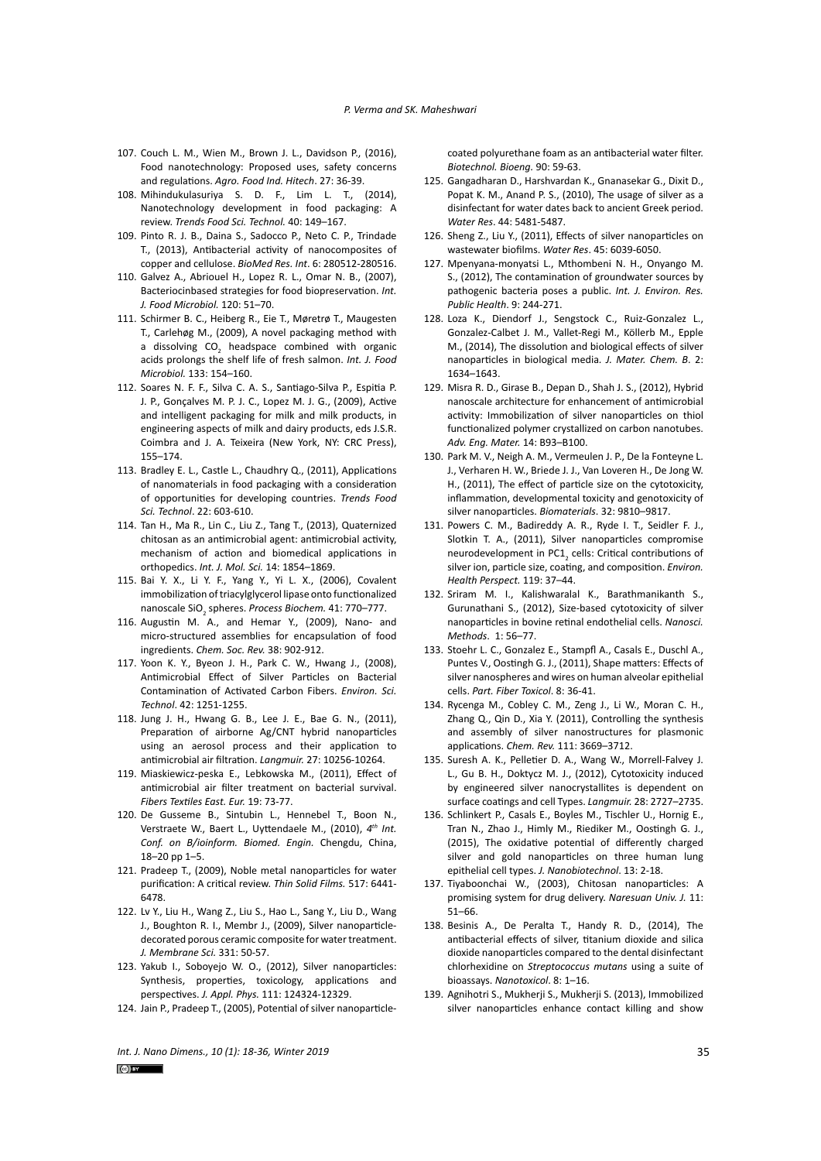- 107. Couch L. M., Wien M., Brown J. L., Davidson P., (2016), Food nanotechnology: Proposed uses, safety concerns and regulations. *Agro. Food Ind. Hitech*. 27: 36-39.
- 108. Mihindukulasuriya S. D. F., Lim L. T., (2014), Nanotechnology development in food packaging: A review. *Trends Food Sci. Technol.* 40: 149–167.
- 109. Pinto R. J. B., Daina S., Sadocco P., Neto C. P., Trindade T., (2013), Antibacterial activity of nanocomposites of copper and cellulose. *BioMed Res. Int*. 6: 280512-280516.
- 110. Galvez A., Abriouel H., Lopez R. L., Omar N. B., (2007), Bacteriocinbased strategies for food biopreservation. *Int. J. Food Microbiol.* 120: 51–70.
- 111. Schirmer B. C., Heiberg R., Eie T., Møretrø T., Maugesten T., Carlehøg M., (2009), A novel packaging method with a dissolving  $CO<sub>2</sub>$  headspace combined with organic acids prolongs the shelf life of fresh salmon. *Int. J. Food Microbiol.* 133: 154–160.
- 112. Soares N. F. F., Silva C. A. S., Santiago-Silva P., Espitia P. J. P., Gonçalves M. P. J. C., Lopez M. J. G., (2009), Active and intelligent packaging for milk and milk products, in engineering aspects of milk and dairy products, eds J.S.R. Coimbra and J. A. Teixeira (New York, NY: CRC Press), 155–174.
- 113. Bradley E. L., Castle L., Chaudhry Q., (2011), Applications of nanomaterials in food packaging with a consideration of opportunities for developing countries. *Trends Food Sci. Technol*. 22: 603-610.
- 114. Tan H., Ma R., Lin C., Liu Z., Tang T., (2013), Quaternized chitosan as an antimicrobial agent: antimicrobial activity, mechanism of action and biomedical applications in orthopedics. *Int. J. Mol. Sci.* 14: 1854–1869.
- 115. Bai Y. X., Li Y. F., Yang Y., Yi L. X., (2006), Covalent immobilization of triacylglycerol lipase onto functionalized nanoscale SiO<sub>2</sub> spheres. *Process Biochem.* 41: 770–777.
- 116. Augustin M. A., and Hemar Y., (2009), Nano- and micro-structured assemblies for encapsulation of food ingredients. *Chem. Soc. Rev.* 38: 902-912.
- 117. Yoon K. Y., Byeon J. H., Park C. W., Hwang J., (2008), Antimicrobial Effect of Silver Particles on Bacterial Contamination of Activated Carbon Fibers. *Environ. Sci. Technol*. 42: 1251-1255.
- 118. Jung J. H., Hwang G. B., Lee J. E., Bae G. N., (2011), Preparation of airborne Ag/CNT hybrid nanoparticles using an aerosol process and their application to antimicrobial air filtration. *Langmuir.* 27: 10256-10264.
- 119. Miaskiewicz-peska E., Lebkowska M., (2011), Effect of antimicrobial air filter treatment on bacterial survival. *Fibers Textiles East. Eur.* 19: 73-77.
- 120. De Gusseme B., Sintubin L., Hennebel T., Boon N., Verstraete W., Baert L., Uyttendaele M., (2010), *4th Int. Conf. on B/ioinform. Biomed. Engin.* Chengdu, China, 18–20 pp 1–5.
- 121. Pradeep T., (2009), [Noble metal nanoparticles for water](https://www.sciencedirect.com/science/article/pii/S004060900900683X)  [purification: A critical review.](https://www.sciencedirect.com/science/article/pii/S004060900900683X) *Thin Solid Films.* 517: 6441- 6478.
- 122. Lv Y., Liu H., Wang Z., Liu S., Hao L., Sang Y., Liu D., Wang J., Boughton R. I., Membr J., (2009), Silver nanoparticledecorated porous ceramic composite for water treatment. *J. Membrane Sci.* 331: 50-57.
- 123. Yakub I., Soboyejo W. O., (2012), Silver nanoparticles: Synthesis, properties, toxicology, applications and perspectives. *J. Appl. Phys.* 111: 124324-12329.
- 124. Jain P., Pradeep T., (2005), Potential of silver nanoparticle-

*Int. J. Nano Dimens., 10 (1): 18-36, Winter 2019* 35  $|c$  BY

coated polyurethane foam as an antibacterial water filter. *Biotechnol. Bioeng.* 90: 59-63.

- 125. Gangadharan D., Harshvardan K., Gnanasekar G., Dixit D., Popat K. M., Anand P. S., (2010), The usage of silver as a disinfectant for water dates back to ancient Greek period. *Water Res*. 44: 5481-5487.
- 126. Sheng Z., Liu Y., (2011), Effects of silver nanoparticles on wastewater biofilms. *Water Res*. 45: 6039-6050.
- 127. Mpenyana-monyatsi L., Mthombeni N. H., Onyango M. S., (2012), The contamination of groundwater sources by pathogenic bacteria poses a public. *Int. J. Environ. Res. Public Health*. 9: 244-271.
- 128. Loza K., Diendorf J., Sengstock C., Ruiz-Gonzalez L., Gonzalez-Calbet J. M., Vallet-Regi M., Köllerb M., Epple M., (2014), The dissolution and biological effects of silver nanoparticles in biological media*. J. Mater. Chem. B*. 2: 1634–1643.
- 129. Misra R. D., Girase B., Depan D., Shah J. S., (2012), Hybrid nanoscale architecture for enhancement of antimicrobial activity: Immobilization of silver nanoparticles on thiol functionalized polymer crystallized on carbon nanotubes. *Adv. Eng. Mater.* 14: B93–B100.
- 130. Park M. V., Neigh A. M., Vermeulen J. P., De la Fonteyne L. J., Verharen H. W., Briede J. J., Van Loveren H., De Jong W. H., (2011), The effect of particle size on the cytotoxicity, inflammation, developmental toxicity and genotoxicity of silver nanoparticles. *Biomaterials*. 32: 9810–9817.
- 131. Powers C. M., Badireddy A. R., Ryde I. T., Seidler F. J., Slotkin T. A., (2011), Silver nanoparticles compromise neurodevelopment in PC1<sub>2</sub> cells: Critical contributions of silver ion, particle size, coating, and composition. *Environ. Health Perspect.* 119: 37–44.
- 132. Sriram M. I., Kalishwaralal K., Barathmanikanth S., Gurunathani S., (2012), Size-based cytotoxicity of silver nanoparticles in bovine retinal endothelial cells. *Nanosci. Methods*. 1: 56–77.
- 133. Stoehr L. C., Gonzalez E., Stampfl A., Casals E., Duschl A., Puntes V., Oostingh G. J., (2011), Shape matters: Effects of silver nanospheres and wires on human alveolar epithelial cells. *Part. Fiber Toxicol*. 8: 36-41.
- 134. Rycenga M., Cobley C. M., Zeng J., Li W., Moran C. H., Zhang Q., Qin D., Xia Y. (2011), Controlling the synthesis and assembly of silver nanostructures for plasmonic applications. *Chem. Rev.* 111: 3669–3712.
- 135. Suresh A. K., Pelletier D. A., Wang W., Morrell-Falvey J. L., Gu B. H., Doktycz M. J., (2012), Cytotoxicity induced by engineered silver nanocrystallites is dependent on surface coatings and cell Types. *Langmuir.* 28: 2727–2735.
- 136. Schlinkert P., Casals E., Boyles M., Tischler U., Hornig E., Tran N., Zhao J., Himly M., Riediker M., Oostingh G. J., (2015), The oxidative potential of differently charged silver and gold nanoparticles on three human lung epithelial cell types. *J. Nanobiotechnol*. 13: 2-18.
- 137. Tiyaboonchai W., (2003), Chitosan nanoparticles: A promising system for drug delivery. *Naresuan Univ. J.* 11: 51–66.
- 138. Besinis A., De Peralta T., Handy R. D., (2014), The antibacterial effects of silver, titanium dioxide and silica dioxide nanoparticles compared to the dental disinfectant chlorhexidine on *Streptococcus mutans* using a suite of bioassays. *Nanotoxicol*. 8: 1–16.
- 139. Agnihotri S., Mukherji S., Mukherji S. (2013), Immobilized silver nanoparticles enhance contact killing and show